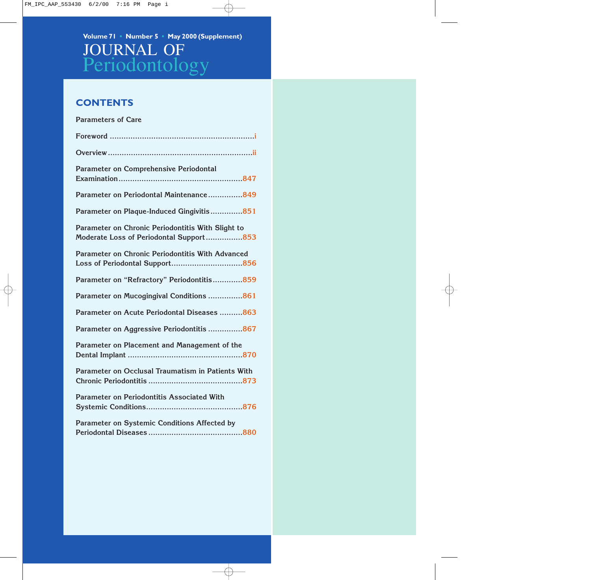## **Volume 71 • Number 5 • May 2000 (Supplement)** JOURNAL OF Periodontology

## **CONTENTS**

| <b>Parameters of Care</b>                                                                    |
|----------------------------------------------------------------------------------------------|
|                                                                                              |
|                                                                                              |
| Parameter on Comprehensive Periodontal                                                       |
| Parameter on Periodontal Maintenance849                                                      |
| Parameter on Plaque-Induced Gingivitis851                                                    |
| Parameter on Chronic Periodontitis With Slight to<br>Moderate Loss of Periodontal Support853 |
| Parameter on Chronic Periodontitis With Advanced                                             |
| Parameter on "Refractory" Periodontitis859                                                   |
| Parameter on Mucogingival Conditions 861                                                     |
| Parameter on Acute Periodontal Diseases  863                                                 |
| Parameter on Aggressive Periodontitis 867                                                    |
| Parameter on Placement and Management of the                                                 |
| Parameter on Occlusal Traumatism in Patients With                                            |
| Parameter on Periodontitis Associated With                                                   |
| Parameter on Systemic Conditions Affected by                                                 |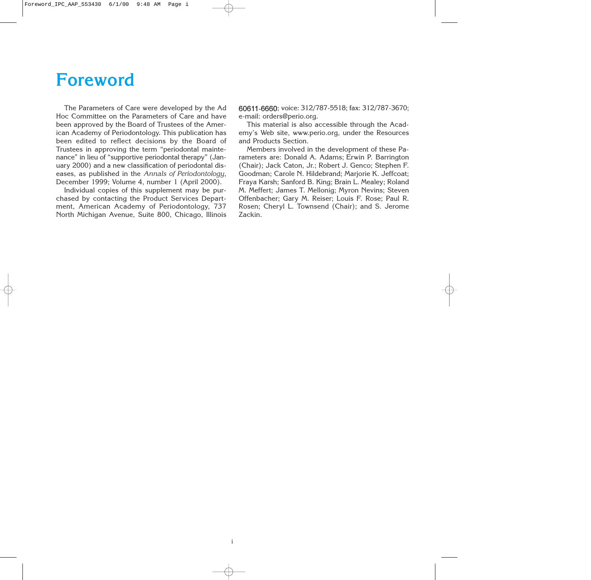# <span id="page-1-0"></span>**Foreword**

The Parameters of Care were developed by the Ad Hoc Committee on the Parameters of Care and have been approved by the Board of Trustees of the American Academy of Periodontology. This publication has been edited to reflect decisions by the Board of Trustees in approving the term "periodontal maintenance" in lieu of "supportive periodontal therapy" (January 2000) and a new classification of periodontal diseases, as published in the *Annals of Periodontology*, December 1999; Volume 4, number 1 (April 2000).

Individual copies of this supplement may be purchased by contacting the Product Services Department, American Academy of Periodontology, 737 North Michigan Avenue, Suite 800, Chicago, Illinois 60611-2690; voice: 312/787-5518; fax: 312/787-3670; e-mail: orders@perio.org.

This material is also accessible through the Academy's Web site, www.perio.org, under the Resources and Products Section.

Members involved in the development of these Parameters are: Donald A. Adams; Erwin P. Barrington (Chair); Jack Caton, Jr.; Robert J. Genco; Stephen F. Goodman; Carole N. Hildebrand; Marjorie K. Jeffcoat; Fraya Karsh; Sanford B. King; Brain L. Mealey; Roland M. Meffert; James T. Mellonig; Myron Nevins; Steven Offenbacher; Gary M. Reiser; Louis F. Rose; Paul R. Rosen; Cheryl L. Townsend (Chair); and S. Jerome Zackin.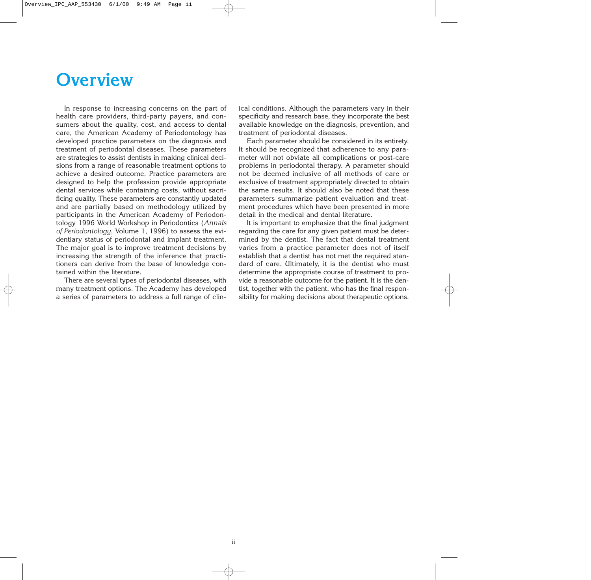# <span id="page-2-0"></span>**Overview**

In response to increasing concerns on the part of health care providers, third-party payers, and consumers about the quality, cost, and access to dental care, the American Academy of Periodontology has developed practice parameters on the diagnosis and treatment of periodontal diseases. These parameters are strategies to assist dentists in making clinical decisions from a range of reasonable treatment options to achieve a desired outcome. Practice parameters are designed to help the profession provide appropriate dental services while containing costs, without sacrificing quality. These parameters are constantly updated and are partially based on methodology utilized by participants in the American Academy of Periodontology 1996 World Workshop in Periodontics (*Annals of Periodontology*, Volume 1, 1996) to assess the evidentiary status of periodontal and implant treatment. The major goal is to improve treatment decisions by increasing the strength of the inference that practitioners can derive from the base of knowledge contained within the literature.

There are several types of periodontal diseases, with many treatment options. The Academy has developed a series of parameters to address a full range of clinical conditions. Although the parameters vary in their specificity and research base, they incorporate the best available knowledge on the diagnosis, prevention, and treatment of periodontal diseases.

Each parameter should be considered in its entirety. It should be recognized that adherence to any parameter will not obviate all complications or post-care problems in periodontal therapy. A parameter should not be deemed inclusive of all methods of care or exclusive of treatment appropriately directed to obtain the same results. It should also be noted that these parameters summarize patient evaluation and treatment procedures which have been presented in more detail in the medical and dental literature.

It is important to emphasize that the final judgment regarding the care for any given patient must be determined by the dentist. The fact that dental treatment varies from a practice parameter does not of itself establish that a dentist has not met the required standard of care. Ultimately, it is the dentist who must determine the appropriate course of treatment to provide a reasonable outcome for the patient. It is the dentist, together with the patient, who has the final responsibility for making decisions about therapeutic options.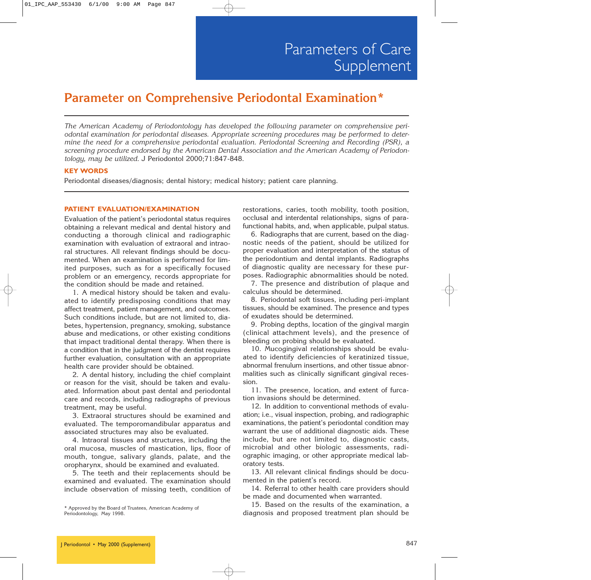## <span id="page-3-0"></span>**Parameter on Comprehensive Periodontal Examination\***

*The American Academy of Periodontology has developed the following parameter on comprehensive periodontal examination for periodontal diseases. Appropriate screening procedures may be performed to determine the need for a comprehensive periodontal evaluation. Periodontal Screening and Recording (PSR), a screening procedure endorsed by the American Dental Association and the American Academy of Periodontology, may be utilized.* J Periodontol 2000;71:847-848.

### **KEY WORDS**

Periodontal diseases/diagnosis; dental history; medical history; patient care planning.

### **PATIENT EVALUATION/EXAMINATION**

Evaluation of the patient's periodontal status requires obtaining a relevant medical and dental history and conducting a thorough clinical and radiographic examination with evaluation of extraoral and intraoral structures. All relevant findings should be documented. When an examination is performed for limited purposes, such as for a specifically focused problem or an emergency, records appropriate for the condition should be made and retained.

1. A medical history should be taken and evaluated to identify predisposing conditions that may affect treatment, patient management, and outcomes. Such conditions include, but are not limited to, diabetes, hypertension, pregnancy, smoking, substance abuse and medications, or other existing conditions that impact traditional dental therapy. When there is a condition that in the judgment of the dentist requires further evaluation, consultation with an appropriate health care provider should be obtained.

2. A dental history, including the chief complaint or reason for the visit, should be taken and evaluated. Information about past dental and periodontal care and records, including radiographs of previous treatment, may be useful.

3. Extraoral structures should be examined and evaluated. The temporomandibular apparatus and associated structures may also be evaluated.

4. Intraoral tissues and structures, including the oral mucosa, muscles of mastication, lips, floor of mouth, tongue, salivary glands, palate, and the oropharynx, should be examined and evaluated.

5. The teeth and their replacements should be examined and evaluated. The examination should include observation of missing teeth, condition of

\* Approved by the Board of Trustees, American Academy of Periodontology, May 1998.

restorations, caries, tooth mobility, tooth position, occlusal and interdental relationships, signs of parafunctional habits, and, when applicable, pulpal status.

6. Radiographs that are current, based on the diagnostic needs of the patient, should be utilized for proper evaluation and interpretation of the status of the periodontium and dental implants. Radiographs of diagnostic quality are necessary for these purposes. Radiographic abnormalities should be noted.

7. The presence and distribution of plaque and calculus should be determined.

8. Periodontal soft tissues, including peri-implant tissues, should be examined. The presence and types of exudates should be determined.

9. Probing depths, location of the gingival margin (clinical attachment levels), and the presence of bleeding on probing should be evaluated.

10. Mucogingival relationships should be evaluated to identify deficiencies of keratinized tissue, abnormal frenulum insertions, and other tissue abnormalities such as clinically significant gingival recession.

11. The presence, location, and extent of furcation invasions should be determined.

12. In addition to conventional methods of evaluation; i.e., visual inspection, probing, and radiographic examinations, the patient's periodontal condition may warrant the use of additional diagnostic aids. These include, but are not limited to, diagnostic casts, microbial and other biologic assessments, radiographic imaging, or other appropriate medical laboratory tests.

13. All relevant clinical findings should be documented in the patient's record.

14. Referral to other health care providers should be made and documented when warranted.

15. Based on the results of the examination, a diagnosis and proposed treatment plan should be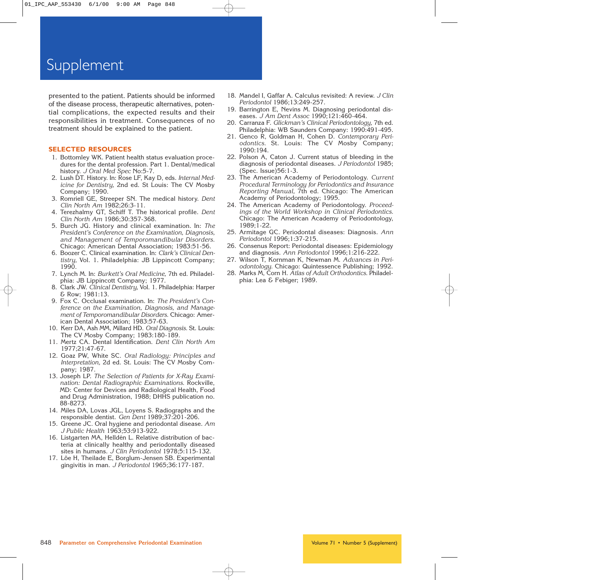presented to the patient. Patients should be informed of the disease process, therapeutic alternatives, potential complications, the expected results and their responsibilities in treatment. Consequences of no treatment should be explained to the patient.

- 1. Bottomley WK. Patient health status evaluation procedures for the dental profession. Part 1. Dental/medical history. *J Oral Med Spec* No:5-7.
- 2. Lush DT. History. In: Rose LF, Kay D, eds. *Internal Medicine for Dentistry,* 2nd ed. St Louis: The CV Mosby Company; 1990.
- 3. Romriell GE, Streeper SN. The medical history. *Dent Clin North Am* 1982;26:3-11.
- 4. Terezhalmy GT, Schiff T. The historical profile. *Dent Clin North Am* 1986;30:357-368.
- 5. Burch JG. History and clinical examination. In: *The President's Conference on the Examination, Diagnosis, and Management of Temporomandibular Disorders.* Chicago: American Dental Association; 1983:51-56.
- 6. Boozer C. Clinical examination. In: *Clark's Clinical Dentistry,* Vol. 1. Philadelphia: JB Lippincott Company; 1990.
- 7. Lynch M. In: *Burkett's Oral Medicine,* 7th ed. Philadelphia: JB Lippincott Company; 1977.
- 8. Clark JW. *Clinical Dentistry,* Vol. 1. Philadelphia: Harper & Row; 1981:13.
- 9. Fox C. Occlusal examination. In: *The President's Conference on the Examination, Diagnosis, and Management of Temporomandibular Disorders.* Chicago: American Dental Association; 1983:57-63.
- 10. Kerr DA, Ash MM, Millard HD. *Oral Diagnosis.* St. Louis: The CV Mosby Company; 1983:180-189.
- 11. Mertz CA. Dental Identification. *Dent Clin North Am* 1977;21:47-67.
- 12. Goaz PW, White SC. *Oral Radiology: Principles and Interpretation,* 2d ed. St. Louis: The CV Mosby Company; 1987.
- 13. Joseph LP. *The Selection of Patients for X-Ray Examination: Dental Radiographic Examinations.* Rockville, MD: Center for Devices and Radiological Health, Food and Drug Administration, 1988; DHHS publication no. 88-8273.
- 14. Miles DA, Lovas JGL, Loyens S. Radiographs and the responsible dentist. *Gen Dent* 1989;37:201-206.
- 15. Greene JC. Oral hygiene and periodontal disease. *Am J Public Health* 1963;53:913-922.
- 16. Listgarten MA, Helldén L. Relative distribution of bacteria at clinically healthy and periodontally diseased sites in humans. *J Clin Periodontol* 1978;5:115-132.
- 17. Löe H, Theilade E, Borglum-Jensen SB. Experimental gingivitis in man. *J Periodontol* 1965;36:177-187.
- 18. Mandel I, Gaffar A. Calculus revisited: A review. *J Clin Periodontol* 1986;13:249-257.
- 19. Barrington E, Nevins M. Diagnosing periodontal diseases. *J Am Dent Assoc* 1990;121:460-464.
- 20. Carranza F. *Glickman's Clinical Periodontology,* 7th ed. Philadelphia: WB Saunders Company: 1990:491-495.
- 21. Genco R, Goldman H, Cohen D. *Contemporary Periodontics.* St. Louis: The CV Mosby Company; 1990:194.
- 22. Polson A, Caton J. Current status of bleeding in the diagnosis of periodontal diseases. *J Periodontol* 1985; (Spec. Issue)56:1-3.
- 23. The American Academy of Periodontology. *Current Procedural Terminology for Periodontics and Insurance Reporting Manual,* 7th ed. Chicago: The American Academy of Periodontology; 1995.
- 24. The American Academy of Periodontology. *Proceedings of the World Workshop in Clinical Periodontics.* Chicago: The American Academy of Periodontology, 1989;1-22.
- 25. Armitage GC. Periodontal diseases: Diagnosis. *Ann Periodontol* 1996;1:37-215.
- 26. Consenus Report: Periodontal diseases: Epidemiology and diagnosis. *Ann Periodontol* 1996;1:216-222.
- 27. Wilson T, Kornman K, Newman M. *Advances in Periodontology.* Chicago: Quintessence Publishing; 1992.
- 28. Marks M, Corn H. *Atlas of Adult Orthodontics.* Philadelphia: Lea & Febiger; 1989.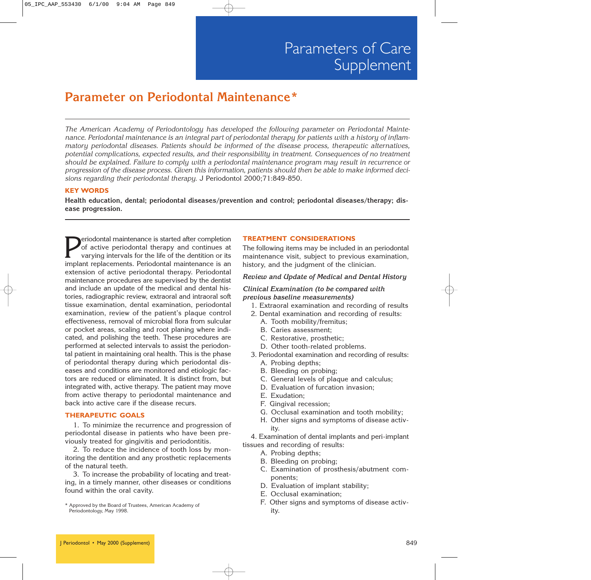## <span id="page-5-0"></span>**Parameter on Periodontal Maintenance\***

*The American Academy of Periodontology has developed the following parameter on Periodontal Maintenance. Periodontal maintenance is an integral part of periodontal therapy for patients with a history of inflammatory periodontal diseases. Patients should be informed of the disease process, therapeutic alternatives, potential complications, expected results, and their responsibility in treatment. Consequences of no treatment should be explained. Failure to comply with a periodontal maintenance program may result in recurrence or progression of the disease process. Given this information, patients should then be able to make informed decisions regarding their periodontal therapy.* J Periodontol 2000;71:849-850.

## **KEY WORDS**

**Health education, dental; periodontal diseases/prevention and control; periodontal diseases/therapy; disease progression.**

eriodontal maintenance is started after completion of active periodontal therapy and continues at varying intervals for the life of the dentition or its implant replacements. Periodontal maintenance is an extension of active periodontal therapy. Periodontal maintenance procedures are supervised by the dentist and include an update of the medical and dental histories, radiographic review, extraoral and intraoral soft tissue examination, dental examination, periodontal examination, review of the patient's plaque control effectiveness, removal of microbial flora from sulcular or pocket areas, scaling and root planing where indicated, and polishing the teeth. These procedures are performed at selected intervals to assist the periodontal patient in maintaining oral health. This is the phase of periodontal therapy during which periodontal diseases and conditions are monitored and etiologic factors are reduced or eliminated. It is distinct from, but integrated with, active therapy. The patient may move from active therapy to periodontal maintenance and back into active care if the disease recurs.

## **THERAPEUTIC GOALS**

1. To minimize the recurrence and progression of periodontal disease in patients who have been previously treated for gingivitis and periodontitis.

2. To reduce the incidence of tooth loss by monitoring the dentition and any prosthetic replacements of the natural teeth.

3. To increase the probability of locating and treating, in a timely manner, other diseases or conditions found within the oral cavity.

\* Approved by the Board of Trustees, American Academy of Periodontology, May 1998.

### **TREATMENT CONSIDERATIONS**

The following items may be included in an periodontal maintenance visit, subject to previous examination, history, and the judgment of the clinician.

### *Review and Update of Medical and Dental History*

*Clinical Examination (to be compared with previous baseline measurements)*

- 1. Extraoral examination and recording of results
- 2. Dental examination and recording of results:
	- A. Tooth mobility/fremitus;
	- B. Caries assessment;
	- C. Restorative, prosthetic;
	- D. Other tooth-related problems.
- 3. Periodontal examination and recording of results:
	- A. Probing depths;
	- B. Bleeding on probing;
	- C. General levels of plaque and calculus;
	- D. Evaluation of furcation invasion;
	- E. Exudation;
	- F. Gingival recession;
	- G. Occlusal examination and tooth mobility;
	- H. Other signs and symptoms of disease activity.

4. Examination of dental implants and peri-implant tissues and recording of results:

- A. Probing depths;
- B. Bleeding on probing;
- C. Examination of prosthesis/abutment components;
- D. Evaluation of implant stability;
- E. Occlusal examination;
- F. Other signs and symptoms of disease activity.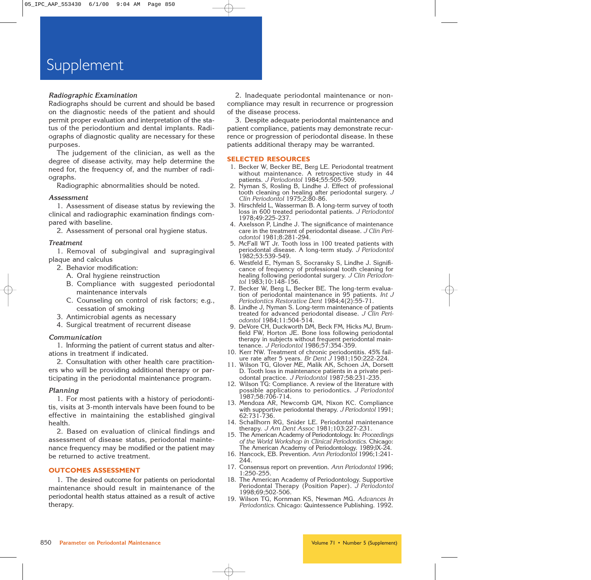#### *Radiographic Examination*

Radiographs should be current and should be based on the diagnostic needs of the patient and should permit proper evaluation and interpretation of the status of the periodontium and dental implants. Radiographs of diagnostic quality are necessary for these purposes.

The judgement of the clinician, as well as the degree of disease activity, may help determine the need for, the frequency of, and the number of radiographs.

Radiographic abnormalities should be noted.

#### *Assessment*

1. Assessment of disease status by reviewing the clinical and radiographic examination findings compared with baseline.

2. Assessment of personal oral hygiene status.

#### *Treatment*

1. Removal of subgingival and supragingival plaque and calculus

- 2. Behavior modification:
	- A. Oral hygiene reinstruction
	- B. Compliance with suggested periodontal maintenance intervals
	- C. Counseling on control of risk factors; e.g., cessation of smoking
- 3. Antimicrobial agents as necessary
- 4. Surgical treatment of recurrent disease

#### *Communication*

1. Informing the patient of current status and alterations in treatment if indicated.

2. Consultation with other health care practitioners who will be providing additional therapy or participating in the periodontal maintenance program.

#### *Planning*

1. For most patients with a history of periodontitis, visits at 3-month intervals have been found to be effective in maintaining the established gingival health.

2. Based on evaluation of clinical findings and assessment of disease status, periodontal maintenance frequency may be modified or the patient may be returned to active treatment.

#### **OUTCOMES ASSESSMENT**

1. The desired outcome for patients on periodontal maintenance should result in maintenance of the periodontal health status attained as a result of active therapy.

2. Inadequate periodontal maintenance or noncompliance may result in recurrence or progression of the disease process.

3. Despite adequate periodontal maintenance and patient compliance, patients may demonstrate recurrence or progression of periodontal disease. In these patients additional therapy may be warranted.

- 1. Becker W, Becker BE, Berg LE. Periodontal treatment without maintenance. A retrospective study in 44 patients. *J Periodontol* 1984;55:505-509.
- 2. Nyman S, Rosling B, Lindhe J. Effect of professional tooth cleaning on healing after periodontal surgery. *J Clin Periodontol* 1975;2:80-86.
- 3. Hirschfeld L, Wasserman B. A long-term survey of tooth loss in 600 treated periodontal patients. *J Periodontol* 1978;49:225-237.
- 4. Axelsson P, Lindhe J. The significance of maintenance care in the treatment of periodontal disease. *J Clin Periodontol* 1981;8:281-294.
- 5. McFall WT Jr. Tooth loss in 100 treated patients with periodontal disease. A long-term study. *J Periodontol* 1982;53:539-549.
- 6. Westfeld E, Nyman S, Socransky S, Lindhe J. Significance of frequency of professional tooth cleaning for healing following periodontal surgery. *J Clin Periodontol* 1983;10:148-156.
- 7. Becker W, Berg L, Becker BE. The long-term evaluation of periodontal maintenance in 95 patients. *Int J Periodontics Restorative Dent* 1984;4(2):55-71.
- 8. Lindhe J, Nyman S. Long-term maintenance of patients treated for advanced periodontal disease. *J Clin Periodontol* 1984;11:504-514.
- 9. DeVore CH, Duckworth DM, Beck FM, Hicks MJ, Brumfield FW, Horton JE. Bone loss following periodontal therapy in subjects without frequent periodontal maintenance. *J Periodontol* 1986;57:354-359.
- 10. Kerr NW. Treatment of chronic periodontitis. 45% failure rate after 5 years. *Br Dent J* 1981;150:222-224.
- 11. Wilson TG, Glover ME, Malik AK, Schoen JA, Dorsett D. Tooth loss in maintenance patients in a private periodontal practice. *J Periodontol* 1987;58:231-235.
- 12. Wilson TG: Compliance. A review of the literature with possible applications to periodontics. *J Periodontol* 1987;58:706-714.
- 13. Mendoza AR, Newcomb GM, Nixon KC. Compliance with supportive periodontal therapy. *J Periodontol* 1991; 62:731-736.
- 14. Schallhorn RG, Snider LE. Periodontal maintenance therapy. *J Am Dent Assoc* 1981;103:227-231.
- 15. The American Academy of Periodontology. In: *Proceedings of the World Workshop in Clinical Periodontics.* Chicago: The American Academy of Periodontology. 1989;IX-24.
- 16. Hancock, EB. Prevention. *Ann Periodontol* 1996;1:241- 244.
- 17. Consensus report on prevention. *Ann Periodontol* 1996; 1:250-255.
- 18. The American Academy of Periodontology. Supportive Periodontal Therapy (Position Paper). *J Periodontol* 1998;69;502-506.
- 19. Wilson TG, Kornman KS, Newman MG. *Advances In Periodontics.* Chicago: Quintessence Publishing. 1992.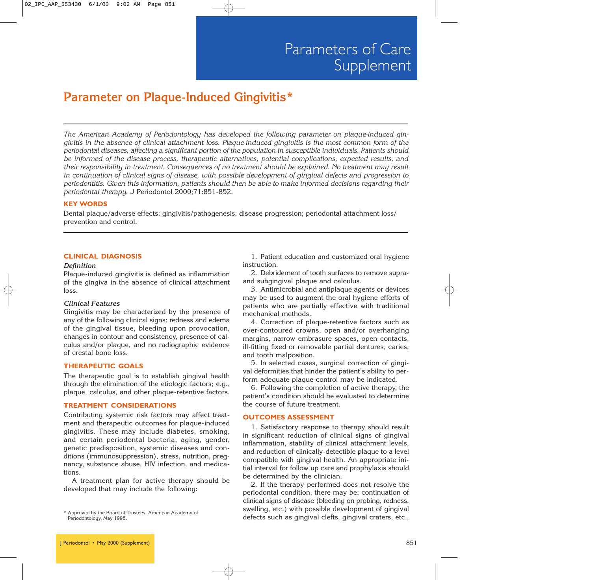## <span id="page-7-0"></span>**Parameter on Plaque-Induced Gingivitis\***

*The American Academy of Periodontology has developed the following parameter on plaque-induced gingivitis in the absence of clinical attachment loss. Plaque-induced gingivitis is the most common form of the periodontal diseases, affecting a significant portion of the population in susceptible individuals. Patients should be informed of the disease process, therapeutic alternatives, potential complications, expected results, and their responsibility in treatment. Consequences of no treatment should be explained. No treatment may result in continuation of clinical signs of disease, with possible development of gingival defects and progression to periodontitis. Given this information, patients should then be able to make informed decisions regarding their periodontal therapy.* J Periodontol 2000;71:851-852.

#### **KEY WORDS**

Dental plaque/adverse effects; gingivitis/pathogenesis; disease progression; periodontal attachment loss/ prevention and control.

### **CLINICAL DIAGNOSIS**

#### *Definition*

Plaque-induced gingivitis is defined as inflammation of the gingiva in the absence of clinical attachment loss.

#### *Clinical Features*

Gingivitis may be characterized by the presence of any of the following clinical signs: redness and edema of the gingival tissue, bleeding upon provocation, changes in contour and consistency, presence of calculus and/or plaque, and no radiographic evidence of crestal bone loss.

### **THERAPEUTIC GOALS**

The therapeutic goal is to establish gingival health through the elimination of the etiologic factors; e.g., plaque, calculus, and other plaque-retentive factors.

#### **TREATMENT CONSIDERATIONS**

Contributing systemic risk factors may affect treatment and therapeutic outcomes for plaque-induced gingivitis. These may include diabetes, smoking, and certain periodontal bacteria, aging, gender, genetic predisposition, systemic diseases and conditions (immunosuppression), stress, nutrition, pregnancy, substance abuse, HIV infection, and medications.

A treatment plan for active therapy should be developed that may include the following:

1. Patient education and customized oral hygiene instruction.

2. Debridement of tooth surfaces to remove supraand subgingival plaque and calculus.

3. Antimicrobial and antiplaque agents or devices may be used to augment the oral hygiene efforts of patients who are partially effective with traditional mechanical methods.

4. Correction of plaque-retentive factors such as over-contoured crowns, open and/or overhanging margins, narrow embrasure spaces, open contacts, ill-fitting fixed or removable partial dentures, caries, and tooth malposition.

5. In selected cases, surgical correction of gingival deformities that hinder the patient's ability to perform adequate plaque control may be indicated.

6. Following the completion of active therapy, the patient's condition should be evaluated to determine the course of future treatment.

#### **OUTCOMES ASSESSMENT**

1. Satisfactory response to therapy should result in significant reduction of clinical signs of gingival inflammation, stability of clinical attachment levels, and reduction of clinically-detectible plaque to a level compatible with gingival health. An appropriate initial interval for follow up care and prophylaxis should be determined by the clinician.

2. If the therapy performed does not resolve the periodontal condition, there may be: continuation of clinical signs of disease (bleeding on probing, redness, swelling, etc.) with possible development of gingival defects such as gingival clefts, gingival craters, etc.,

<sup>\*</sup> Approved by the Board of Trustees, American Academy of Periodontology, May 1998.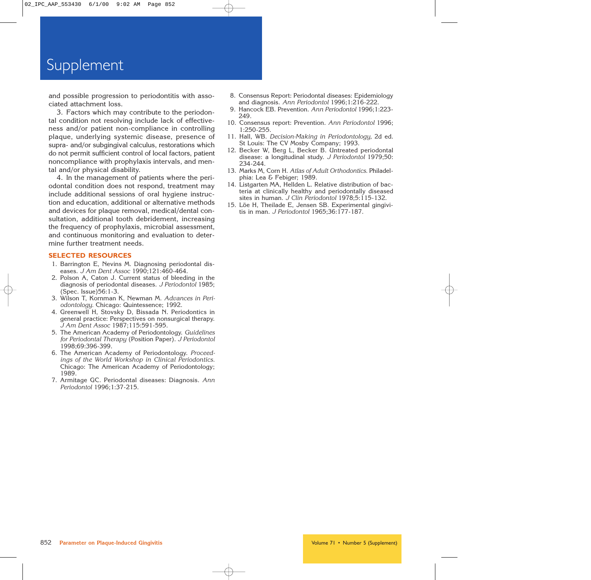and possible progression to periodontitis with associated attachment loss.

3. Factors which may contribute to the periodontal condition not resolving include lack of effectiveness and/or patient non-compliance in controlling plaque, underlying systemic disease, presence of supra- and/or subgingival calculus, restorations which do not permit sufficient control of local factors, patient noncompliance with prophylaxis intervals, and mental and/or physical disability.

4. In the management of patients where the periodontal condition does not respond, treatment may include additional sessions of oral hygiene instruction and education, additional or alternative methods and devices for plaque removal, medical/dental consultation, additional tooth debridement, increasing the frequency of prophylaxis, microbial assessment, and continuous monitoring and evaluation to determine further treatment needs.

- 1. Barrington E, Nevins M. Diagnosing periodontal diseases. *J Am Dent Assoc* 1990;121:460-464.
- 2. Polson A, Caton J. Current status of bleeding in the diagnosis of periodontal diseases. *J Periodontol* 1985; (Spec. Issue)56:1-3.
- 3. Wilson T, Kornman K, Newman M. *Advances in Periodontology.* Chicago: Quintessence; 1992.
- 4. Greenwell H, Stovsky D, Bissada N. Periodontics in general practice: Perspectives on nonsurgical therapy. *J Am Dent Assoc* 1987;115:591-595.
- 5. The American Academy of Periodontology. *Guidelines for Periodontal Therapy* (Position Paper). *J Periodontol* 1998;69:396-399.
- 6. The American Academy of Periodontology. *Proceedings of the World Workshop in Clinical Periodontics.* Chicago: The American Academy of Periodontology; 1989.
- 7. Armitage GC. Periodontal diseases: Diagnosis. *Ann Periodontol* 1996;1:37-215.
- 8. Consensus Report: Periodontal diseases: Epidemiology and diagnosis. *Ann Periodontol* 1996;1:216-222.
- 9. Hancock EB. Prevention. *Ann Periodontol* 1996;1:223- 249.
- 10. Consensus report: Prevention. *Ann Periodontol* 1996; 1:250-255.
- 11. Hall, WB. *Decision-Making in Periodontology,* 2d ed. St Louis: The CV Mosby Company; 1993.
- 12. Becker W, Berg L, Becker B. Untreated periodontal disease: a longitudinal study. *J Periodontol* 1979;50: 234-244.
- 13. Marks M, Corn H. *Atlas of Adult Orthodontics.* Philadelphia: Lea & Febiger; 1989.
- 14. Listgarten MA, Hellden L. Relative distribution of bacteria at clinically healthy and periodontally diseased sites in human. *J Clin Periodontol* 1978;5:115-132.
- 15. Löe H, Theilade E, Jensen SB. Experimental gingivitis in man. *J Periodontol* 1965;36:177-187.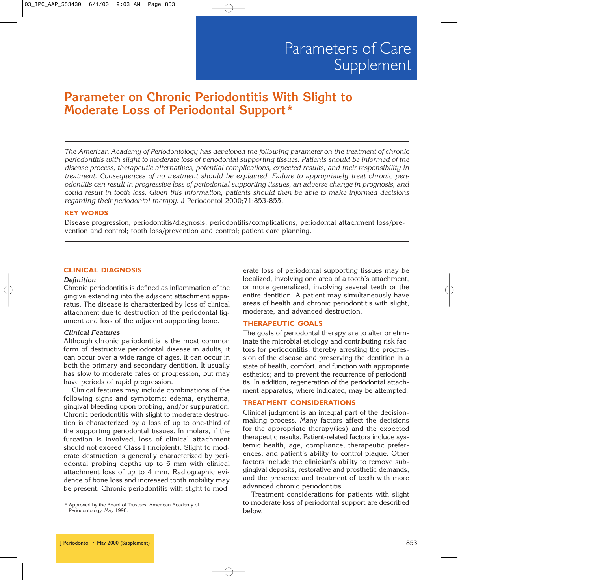## <span id="page-9-0"></span>**Parameter on Chronic Periodontitis With Slight to Moderate Loss of Periodontal Support\***

*The American Academy of Periodontology has developed the following parameter on the treatment of chronic periodontitis with slight to moderate loss of periodontal supporting tissues. Patients should be informed of the disease process, therapeutic alternatives, potential complications, expected results, and their responsibility in treatment. Consequences of no treatment should be explained. Failure to appropriately treat chronic periodontitis can result in progressive loss of periodontal supporting tissues, an adverse change in prognosis, and could result in tooth loss. Given this information, patients should then be able to make informed decisions regarding their periodontal therapy.* J Periodontol 2000;71:853-855.

#### **KEY WORDS**

Disease progression; periodontitis/diagnosis; periodontitis/complications; periodontal attachment loss/prevention and control; tooth loss/prevention and control; patient care planning.

#### **CLINICAL DIAGNOSIS**

#### *Definition*

Chronic periodontitis is defined as inflammation of the gingiva extending into the adjacent attachment apparatus. The disease is characterized by loss of clinical attachment due to destruction of the periodontal ligament and loss of the adjacent supporting bone.

#### *Clinical Features*

Although chronic periodontitis is the most common form of destructive periodontal disease in adults, it can occur over a wide range of ages. It can occur in both the primary and secondary dentition. It usually has slow to moderate rates of progression, but may have periods of rapid progression.

Clinical features may include combinations of the following signs and symptoms: edema, erythema, gingival bleeding upon probing, and/or suppuration. Chronic periodontitis with slight to moderate destruction is characterized by a loss of up to one-third of the supporting periodontal tissues. In molars, if the furcation is involved, loss of clinical attachment should not exceed Class I (incipient). Slight to moderate destruction is generally characterized by periodontal probing depths up to 6 mm with clinical attachment loss of up to 4 mm. Radiographic evidence of bone loss and increased tooth mobility may be present. Chronic periodontitis with slight to mod-

Approved by the Board of Trustees, American Academy of Periodontology, May 1998.

erate loss of periodontal supporting tissues may be localized, involving one area of a tooth's attachment, or more generalized, involving several teeth or the entire dentition. A patient may simultaneously have areas of health and chronic periodontitis with slight, moderate, and advanced destruction.

#### **THERAPEUTIC GOALS**

The goals of periodontal therapy are to alter or eliminate the microbial etiology and contributing risk factors for periodontitis, thereby arresting the progression of the disease and preserving the dentition in a state of health, comfort, and function with appropriate esthetics; and to prevent the recurrence of periodontitis. In addition, regeneration of the periodontal attachment apparatus, where indicated, may be attempted.

#### **TREATMENT CONSIDERATIONS**

Clinical judgment is an integral part of the decisionmaking process. Many factors affect the decisions for the appropriate therapy(ies) and the expected therapeutic results. Patient-related factors include systemic health, age, compliance, therapeutic preferences, and patient's ability to control plaque. Other factors include the clinician's ability to remove subgingival deposits, restorative and prosthetic demands, and the presence and treatment of teeth with more advanced chronic periodontitis.

Treatment considerations for patients with slight to moderate loss of periodontal support are described below.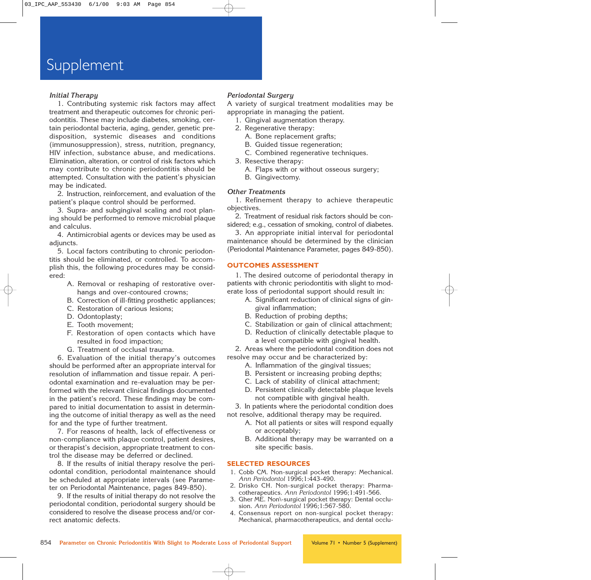#### *Initial Therapy*

1. Contributing systemic risk factors may affect treatment and therapeutic outcomes for chronic periodontitis. These may include diabetes, smoking, certain periodontal bacteria, aging, gender, genetic predisposition, systemic diseases and conditions (immunosuppression), stress, nutrition, pregnancy, HIV infection, substance abuse, and medications. Elimination, alteration, or control of risk factors which may contribute to chronic periodontitis should be attempted. Consultation with the patient's physician may be indicated.

2. Instruction, reinforcement, and evaluation of the patient's plaque control should be performed.

3. Supra- and subgingival scaling and root planing should be performed to remove microbial plaque and calculus.

4. Antimicrobial agents or devices may be used as adjuncts.

5. Local factors contributing to chronic periodontitis should be eliminated, or controlled. To accomplish this, the following procedures may be considered:

- A. Removal or reshaping of restorative overhangs and over-contoured crowns;
- B. Correction of ill-fitting prosthetic appliances;
- C. Restoration of carious lesions;
- D. Odontoplasty;
- E. Tooth movement;
- F. Restoration of open contacts which have resulted in food impaction;
- G. Treatment of occlusal trauma.

6. Evaluation of the initial therapy's outcomes should be performed after an appropriate interval for resolution of inflammation and tissue repair. A periodontal examination and re-evaluation may be performed with the relevant clinical findings documented in the patient's record. These findings may be compared to initial documentation to assist in determining the outcome of initial therapy as well as the need for and the type of further treatment.

7. For reasons of health, lack of effectiveness or non-compliance with plaque control, patient desires, or therapist's decision, appropriate treatment to control the disease may be deferred or declined.

8. If the results of initial therapy resolve the periodontal condition, periodontal maintenance should be scheduled at appropriate intervals (see Parameter on Periodontal Maintenance, pages 849-850).

9. If the results of initial therapy do not resolve the periodontal condition, periodontal surgery should be considered to resolve the disease process and/or correct anatomic defects.

#### *Periodontal Surgery*

A variety of surgical treatment modalities may be appropriate in managing the patient.

- 1. Gingival augmentation therapy.
- 2. Regenerative therapy:
	- A. Bone replacement grafts;
	- B. Guided tissue regeneration;
	- C. Combined regenerative techniques.
- 3. Resective therapy:
	- A. Flaps with or without osseous surgery;
	- B. Gingivectomy.

#### *Other Treatments*

1. Refinement therapy to achieve therapeutic objectives.

2. Treatment of residual risk factors should be considered; e.g., cessation of smoking, control of diabetes.

3. An appropriate initial interval for periodontal maintenance should be determined by the clinician (Periodontal Maintenance Parameter, pages 849-850).

#### **OUTCOMES ASSESSMENT**

1. The desired outcome of periodontal therapy in patients with chronic periodontitis with slight to moderate loss of periodontal support should result in:

- A. Significant reduction of clinical signs of gingival inflammation;
- B. Reduction of probing depths;
- C. Stabilization or gain of clinical attachment;
- D. Reduction of clinically detectable plaque to a level compatible with gingival health.

2. Areas where the periodontal condition does not resolve may occur and be characterized by:

- A. Inflammation of the gingival tissues;
- B. Persistent or increasing probing depths;
- C. Lack of stability of clinical attachment;
- D. Persistent clinically detectable plaque levels not compatible with gingival health.

3. In patients where the periodontal condition does not resolve, additional therapy may be required.

- A. Not all patients or sites will respond equally or acceptably;
- B. Additional therapy may be warranted on a site specific basis.

- 1. Cobb CM. Non-surgical pocket therapy: Mechanical. *Ann Periodontol* 1996;1:443-490.
- 2. Drisko CH. Non-surgical pocket therapy: Pharmacotherapeutics. *Ann Periodontol* 1996;1:491-566.
- 3. Gher ME. Non\-surgical pocket therapy: Dental occlusion. *Ann Periodontol* 1996;1:567-580.
- 4. Consensus report on non-surgical pocket therapy: Mechanical, pharmacotherapeutics, and dental occlu-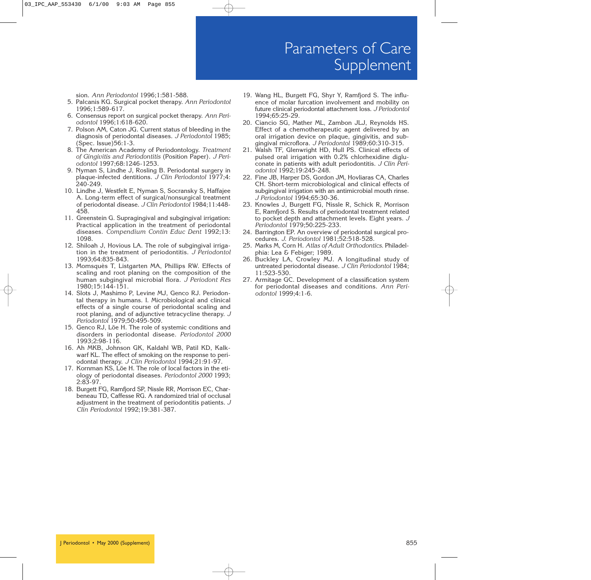sion. *Ann Periodontol* 1996;1:581-588.

- 5. Palcanis KG. Surgical pocket therapy. *Ann Periodontol* 1996;1:589-617.
- 6. Consensus report on surgical pocket therapy. *Ann Periodontol* 1996;1:618-620.
- 7. Polson AM, Caton JG. Current status of bleeding in the diagnosis of periodontal diseases. *J Periodontol* 1985; (Spec. Issue)56:1-3.
- 8. The American Academy of Periodontology. *Treatment of Gingivitis and Periodontitis* (Position Paper). *J Periodontol* 1997;68:1246-1253.
- 9. Nyman S, Lindhe J, Rosling B. Periodontal surgery in plaque-infected dentitions. *J Clin Periodontol* 1977;4: 240-249.
- 10. Lindhe J, Westfelt E, Nyman S, Socransky S, Haffajee A. Long-term effect of surgical/nonsurgical treatment of periodontal disease. *J Clin Periodontol* 1984;11:448- 458.
- 11. Greenstein G. Supragingival and subgingival irrigation: Practical application in the treatment of periodontal diseases. *Compendium Contin Educ Dent* 1992;13: 1098.
- 12. Shiloah J, Hovious LA. The role of subgingival irrigation in the treatment of periodontitis. *J Periodontol* 1993;64:835-843.
- 13. Momsquès T, Listgarten MA, Phillips RW. Effects of scaling and root planing on the composition of the human subgingival microbial flora. *J Periodont Res* 1980;15:144-151.
- 14. Slots J, Mashimo P, Levine MJ, Genco RJ. Periodontal therapy in humans. I. Microbiological and clinical effects of a single course of periodontal scaling and root planing, and of adjunctive tetracycline therapy. *J Periodontol* 1979;50:495-509.
- 15. Genco RJ, Löe H. The role of systemic conditions and disorders in periodontal disease. *Periodontol 2000* 1993;2:98-116.
- 16. Ah MKB, Johnson GK, Kaldahl WB, Patil KD, Kalkwarf KL. The effect of smoking on the response to periodontal therapy. *J Clin Periodontol* 1994;21:91-97.
- 17. Kornman KS, Löe H. The role of local factors in the etiology of periodontal diseases. *Periodontol 2000* 1993; 2:83-97.
- 18. Burgett FG, Ramfjord SP, Nissle RR, Morrison EC, Charbeneau TD, Caffesse RG. A randomized trial of occlusal adjustment in the treatment of periodontitis patients. *J Clin Periodontol* 1992;19:381-387.
- 19. Wang HL, Burgett FG, Shyr Y, Ramfjord S. The influence of molar furcation involvement and mobility on future clinical periodontal attachment loss. *J Periodontol* 1994;65:25-29.
- 20. Ciancio SG, Mather ML, Zambon JLJ, Reynolds HS. Effect of a chemotherapeutic agent delivered by an oral irrigation device on plaque, gingivitis, and subgingival microflora. *J Periodontol* 1989;60:310-315.
- 21. Walsh TF, Glenwright HD, Hull PS. Clinical effects of pulsed oral irrigation with 0.2% chlorhexidine digluconate in patients with adult periodontitis. *J Clin Periodontol* 1992;19:245-248.
- 22. Fine JB, Harper DS, Gordon JM, Hovliaras CA, Charles CH. Short-term microbiological and clinical effects of subgingival irrigation with an antimicrobial mouth rinse. *J Periodontol* 1994;65:30-36.
- 23. Knowles J, Burgett FG, Nissle R, Schick R, Morrison E, Ramfjord S. Results of periodontal treatment related to pocket depth and attachment levels. Eight years. *J Periodontol* 1979;50:225-233.
- 24. Barrington EP. An overview of periodontal surgical procedures. *J. Periodontol* 1981;52:518-528.
- 25. Marks M, Corn H. *Atlas of Adult Orthodontics.* Philadelphia: Lea & Febiger; 1989.
- 26. Buckley LA, Crowley MJ. A longitudinal study of untreated periodontal disease. *J Clin Periodontol* 1984; 11:523-530.
- 27. Armitage GC. Development of a classification system for periodontal diseases and conditions. *Ann Periodontol* 1999;4:1-6.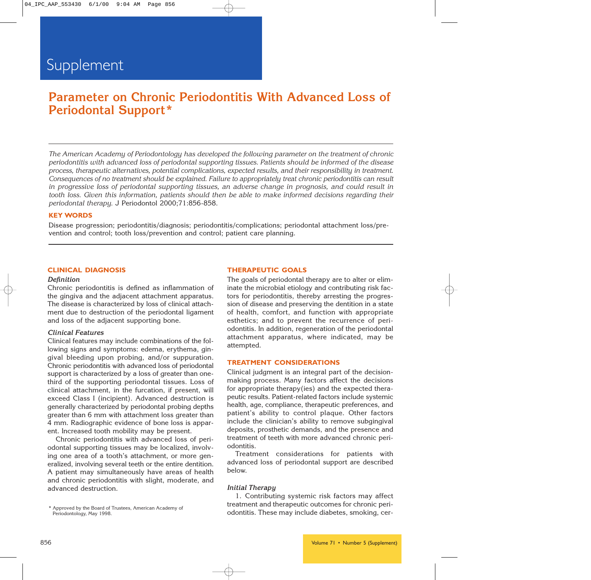## <span id="page-12-0"></span>**Parameter on Chronic Periodontitis With Advanced Loss of Periodontal Support\***

*The American Academy of Periodontology has developed the following parameter on the treatment of chronic periodontitis with advanced loss of periodontal supporting tissues. Patients should be informed of the disease process, therapeutic alternatives, potential complications, expected results, and their responsibility in treatment. Consequences of no treatment should be explained. Failure to appropriately treat chronic periodontitis can result in progressive loss of periodontal supporting tissues, an adverse change in prognosis, and could result in tooth loss. Given this information, patients should then be able to make informed decisions regarding their periodontal therapy.* J Periodontol 2000;71:856-858.

#### **KEY WORDS**

Disease progression; periodontitis/diagnosis; periodontitis/complications; periodontal attachment loss/prevention and control; tooth loss/prevention and control; patient care planning.

#### **CLINICAL DIAGNOSIS**

#### *Definition*

Chronic periodontitis is defined as inflammation of the gingiva and the adjacent attachment apparatus. The disease is characterized by loss of clinical attachment due to destruction of the periodontal ligament and loss of the adjacent supporting bone.

#### *Clinical Features*

Clinical features may include combinations of the following signs and symptoms: edema, erythema, gingival bleeding upon probing, and/or suppuration. Chronic periodontitis with advanced loss of periodontal support is characterized by a loss of greater than onethird of the supporting periodontal tissues. Loss of clinical attachment, in the furcation, if present, will exceed Class I (incipient). Advanced destruction is generally characterized by periodontal probing depths greater than 6 mm with attachment loss greater than 4 mm. Radiographic evidence of bone loss is apparent. Increased tooth mobility may be present.

Chronic periodontitis with advanced loss of periodontal supporting tissues may be localized, involving one area of a tooth's attachment, or more generalized, involving several teeth or the entire dentition. A patient may simultaneously have areas of health and chronic periodontitis with slight, moderate, and advanced destruction.

Periodontology, May 1998.

#### **THERAPEUTIC GOALS**

The goals of periodontal therapy are to alter or eliminate the microbial etiology and contributing risk factors for periodontitis, thereby arresting the progression of disease and preserving the dentition in a state of health, comfort, and function with appropriate esthetics; and to prevent the recurrence of periodontitis. In addition, regeneration of the periodontal attachment apparatus, where indicated, may be attempted.

#### **TREATMENT CONSIDERATIONS**

Clinical judgment is an integral part of the decisionmaking process. Many factors affect the decisions for appropriate therapy(ies) and the expected therapeutic results. Patient-related factors include systemic health, age, compliance, therapeutic preferences, and patient's ability to control plaque. Other factors include the clinician's ability to remove subgingival deposits, prosthetic demands, and the presence and treatment of teeth with more advanced chronic periodontitis.

Treatment considerations for patients with advanced loss of periodontal support are described below.

#### *Initial Therapy*

1. Contributing systemic risk factors may affect treatment and therapeutic outcomes for chronic peri-\* Approved by the Board of Trustees, American Academy of the and the appear to discuss the Board of Trustees, American Academy of the annual oriental and the rapeatic butcomes for Chronic peri-<br>Odontitis. These may include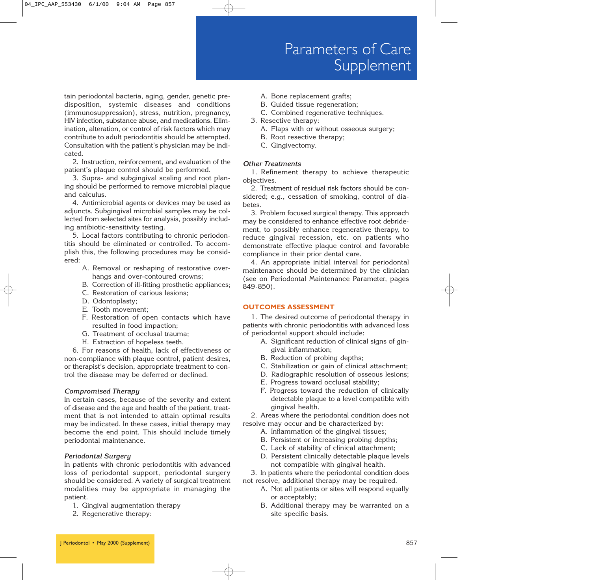tain periodontal bacteria, aging, gender, genetic predisposition, systemic diseases and conditions (immunosuppression), stress, nutrition, pregnancy, HIV infection, substance abuse, and medications. Elimination, alteration, or control of risk factors which may contribute to adult periodontitis should be attempted. Consultation with the patient's physician may be indicated.

2. Instruction, reinforcement, and evaluation of the patient's plaque control should be performed.

3. Supra- and subgingival scaling and root planing should be performed to remove microbial plaque and calculus.

4. Antimicrobial agents or devices may be used as adjuncts. Subgingival microbial samples may be collected from selected sites for analysis, possibly including antibiotic-sensitivity testing.

5. Local factors contributing to chronic periodontitis should be eliminated or controlled. To accomplish this, the following procedures may be considered:

- A. Removal or reshaping of restorative overhangs and over-contoured crowns;
- B. Correction of ill-fitting prosthetic appliances;
- C. Restoration of carious lesions;
- D. Odontoplasty;
- E. Tooth movement;
- F. Restoration of open contacts which have resulted in food impaction;
- G. Treatment of occlusal trauma;
- H. Extraction of hopeless teeth.

6. For reasons of health, lack of effectiveness or non-compliance with plaque control, patient desires, or therapist's decision, appropriate treatment to control the disease may be deferred or declined.

#### *Compromised Therapy*

In certain cases, because of the severity and extent of disease and the age and health of the patient, treatment that is not intended to attain optimal results may be indicated. In these cases, initial therapy may become the end point. This should include timely periodontal maintenance.

#### *Periodontal Surgery*

In patients with chronic periodontitis with advanced loss of periodontal support, periodontal surgery should be considered. A variety of surgical treatment modalities may be appropriate in managing the patient.

- 1. Gingival augmentation therapy
- 2. Regenerative therapy:
- A. Bone replacement grafts;
- B. Guided tissue regeneration;
- C. Combined regenerative techniques.
- 3. Resective therapy:
	- A. Flaps with or without osseous surgery;
	- B. Root resective therapy;
	- C. Gingivectomy.

#### *Other Treatments*

1. Refinement therapy to achieve therapeutic objectives.

2. Treatment of residual risk factors should be considered; e.g., cessation of smoking, control of diabetes.

3. Problem focused surgical therapy. This approach may be considered to enhance effective root debridement, to possibly enhance regenerative therapy, to reduce gingival recession, etc. on patients who demonstrate effective plaque control and favorable compliance in their prior dental care.

4. An appropriate initial interval for periodontal maintenance should be determined by the clinician (see on Periodontal Maintenance Parameter, pages 849-850).

#### **OUTCOMES ASSESSMENT**

1. The desired outcome of periodontal therapy in patients with chronic periodontitis with advanced loss of periodontal support should include:

- A. Significant reduction of clinical signs of gingival inflammation;
- B. Reduction of probing depths;
- C. Stabilization or gain of clinical attachment;
- D. Radiographic resolution of osseous lesions;
- E. Progress toward occlusal stability;
- F. Progress toward the reduction of clinically detectable plaque to a level compatible with gingival health.

2. Areas where the periodontal condition does not resolve may occur and be characterized by:

- A. Inflammation of the gingival tissues;
- B. Persistent or increasing probing depths;
- C. Lack of stability of clinical attachment;
- D. Persistent clinically detectable plaque levels not compatible with gingival health.

3. In patients where the periodontal condition does

- not resolve, additional therapy may be required.
	- A. Not all patients or sites will respond equally or acceptably;
	- B. Additional therapy may be warranted on a site specific basis.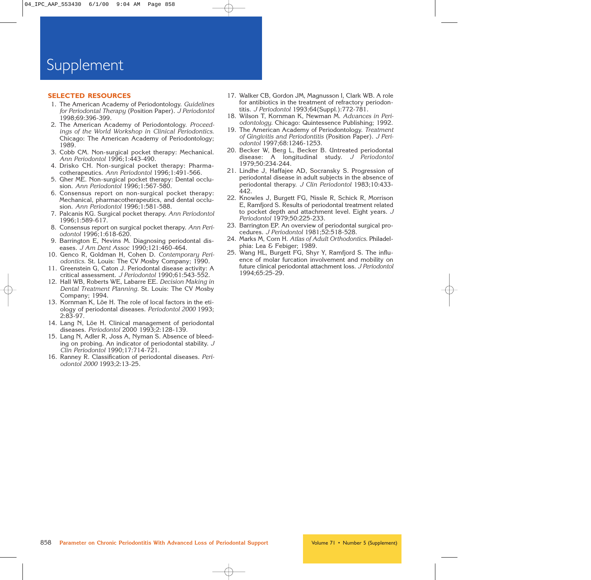- 1. The American Academy of Periodontology. *Guidelines for Periodontal Therapy* (Position Paper). *J Periodontol* 1998;69:396-399.
- 2. The American Academy of Periodontology. *Proceedings of the World Workshop in Clinical Periodontics.* Chicago: The American Academy of Periodontology; 1989.
- 3. Cobb CM. Non-surgical pocket therapy: Mechanical. *Ann Periodontol* 1996;1:443-490.
- 4. Drisko CH. Non-surgical pocket therapy: Pharmacotherapeutics. *Ann Periodontol* 1996;1:491-566.
- 5. Gher ME. Non-surgical pocket therapy: Dental occlusion. *Ann Periodontol* 1996;1:567-580.
- 6. Consensus report on non-surgical pocket therapy: Mechanical, pharmacotherapeutics, and dental occlusion. *Ann Periodontol* 1996;1:581-588.
- 7. Palcanis KG. Surgical pocket therapy. *Ann Periodontol* 1996;1:589-617.
- 8. Consensus report on surgical pocket therapy. *Ann Periodontol* 1996;1:618-620.
- 9. Barrington E, Nevins M. Diagnosing periodontal diseases. *J Am Dent Assoc* 1990;121:460-464.
- 10. Genco R, Goldman H, Cohen D. *Contemporary Periodontics.* St. Louis: The CV Mosby Company; 1990.
- 11. Greenstein G, Caton J. Periodontal disease activity: A critical assessment. *J Periodontol* 1990;61:543-552.
- 12. Hall WB, Roberts WE, Labarre EE. *Decision Making in Dental Treatment Planning.* St. Louis: The CV Mosby Company; 1994.
- 13. Kornman K, Löe H. The role of local factors in the etiology of periodontal diseases. *Periodontol 2000* 1993; 2:83-97.
- 14. Lang N, Löe H. Clinical management of periodontal diseases. *Periodontol* 2000 1993;2:128-139.
- 15. Lang N, Adler R, Joss A, Nyman S. Absence of bleeding on probing. An indicator of periodontal stability. *J Clin Periodontol* 1990;17:714-721.
- 16. Ranney R. Classification of periodontal diseases. *Periodontol 2000* 1993;2:13-25.
- 17. Walker CB, Gordon JM, Magnusson I, Clark WB. A role for antibiotics in the treatment of refractory periodontitis. *J Periodontol* 1993;64(Suppl.):772-781.
- 18. Wilson T, Kornman K, Newman M. *Advances in Periodontology.* Chicago: Quintessence Publishing; 1992.
- 19. The American Academy of Periodontology. *Treatment of Gingivitis and Periodontitis* (Position Paper). *J Periodontol* 1997;68:1246-1253.
- 20. Becker W, Berg L, Becker B. Untreated periodontal disease: A longitudinal study. *J Periodontol* 1979;50:234-244.
- 21. Lindhe J, Haffajee AD, Socransky S. Progression of periodontal disease in adult subjects in the absence of periodontal therapy. *J Clin Periodontol* 1983;10:433- 442.
- 22. Knowles J, Burgett FG, Nissle R, Schick R, Morrison E, Ramfjord S. Results of periodontal treatment related to pocket depth and attachment level. Eight years. *J Periodontol* 1979;50:225-233.
- 23. Barrington EP. An overview of periodontal surgical procedures. *J Periodontol* 1981;52:518-528.
- 24. Marks M, Corn H. *Atlas of Adult Orthodontics.* Philadelphia: Lea & Febiger; 1989.
- 25. Wang HL, Burgett FG, Shyr Y, Ramfjord S. The influence of molar furcation involvement and mobility on future clinical periodontal attachment loss. *J Periodontol* 1994;65:25-29.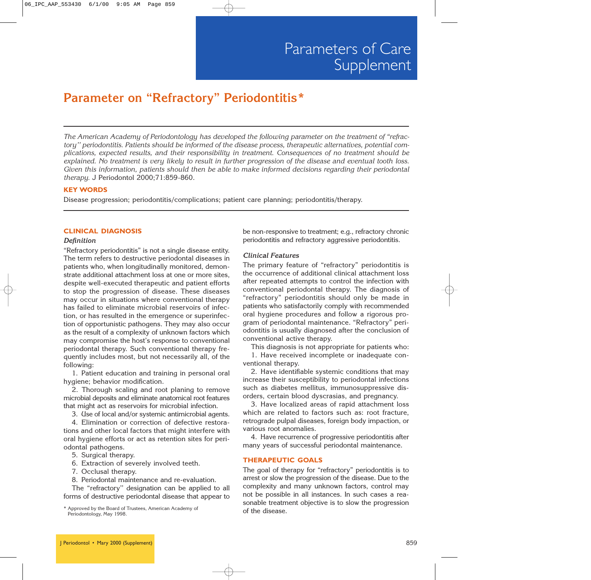## <span id="page-15-0"></span>**Parameter on "Refractory" Periodontitis\***

*The American Academy of Periodontology has developed the following parameter on the treatment of "refractory'' periodontitis. Patients should be informed of the disease process, therapeutic alternatives, potential complications, expected results, and their responsibility in treatment. Consequences of no treatment should be explained. No treatment is very likely to result in further progression of the disease and eventual tooth loss. Given this information, patients should then be able to make informed decisions regarding their periodontal therapy.* J Periodontol 2000;71:859-860.

## **KEY WORDS**

Disease progression; periodontitis/complications; patient care planning; periodontitis/therapy.

## **CLINICAL DIAGNOSIS**

### *Definition*

"Refractory periodontitis" is not a single disease entity. The term refers to destructive periodontal diseases in patients who, when longitudinally monitored, demonstrate additional attachment loss at one or more sites, despite well-executed therapeutic and patient efforts to stop the progression of disease. These diseases may occur in situations where conventional therapy has failed to eliminate microbial reservoirs of infection, or has resulted in the emergence or superinfection of opportunistic pathogens. They may also occur as the result of a complexity of unknown factors which may compromise the host's response to conventional periodontal therapy. Such conventional therapy frequently includes most, but not necessarily all, of the following:

1. Patient education and training in personal oral hygiene; behavior modification.

2. Thorough scaling and root planing to remove microbial deposits and eliminate anatomical root features that might act as reservoirs for microbial infection.

3. Use of local and/or systemic antimicrobial agents.

4. Elimination or correction of defective restorations and other local factors that might interfere with oral hygiene efforts or act as retention sites for periodontal pathogens.

- 5. Surgical therapy.
- 6. Extraction of severely involved teeth.
- 7. Occlusal therapy.
- 8. Periodontal maintenance and re-evaluation.

The "refractory'' designation can be applied to all forms of destructive periodontal disease that appear to

Approved by the Board of Trustees, American Academy of Periodontology, May 1998.

be non-responsive to treatment; e.g., refractory chronic periodontitis and refractory aggressive periodontitis.

#### *Clinical Features*

The primary feature of "refractory" periodontitis is the occurrence of additional clinical attachment loss after repeated attempts to control the infection with conventional periodontal therapy. The diagnosis of "refractory" periodontitis should only be made in patients who satisfactorily comply with recommended oral hygiene procedures and follow a rigorous program of periodontal maintenance. "Refractory" periodontitis is usually diagnosed after the conclusion of conventional active therapy.

This diagnosis is not appropriate for patients who:

1. Have received incomplete or inadequate conventional therapy.

2. Have identifiable systemic conditions that may increase their susceptibility to periodontal infections such as diabetes mellitus, immunosuppressive disorders, certain blood dyscrasias, and pregnancy.

3. Have localized areas of rapid attachment loss which are related to factors such as: root fracture, retrograde pulpal diseases, foreign body impaction, or various root anomalies.

4. Have recurrence of progressive periodontitis after many years of successful periodontal maintenance.

#### **THERAPEUTIC GOALS**

The goal of therapy for "refractory" periodontitis is to arrest or slow the progression of the disease. Due to the complexity and many unknown factors, control may not be possible in all instances. In such cases a reasonable treatment objective is to slow the progression of the disease.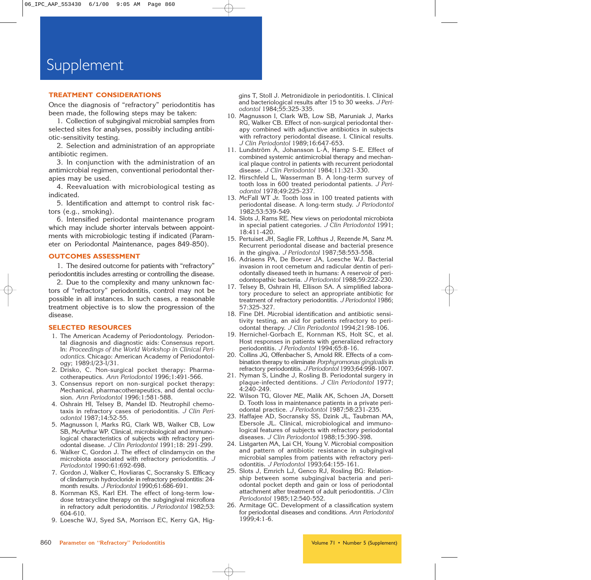#### **TREATMENT CONSIDERATIONS**

Once the diagnosis of "refractory" periodontitis has been made, the following steps may be taken:

1. Collection of subgingival microbial samples from selected sites for analyses, possibly including antibiotic-sensitivity testing.

2. Selection and administration of an appropriate antibiotic regimen.

3. In conjunction with the administration of an antimicrobial regimen, conventional periodontal therapies may be used.

4. Reevaluation with microbiological testing as indicated.

5. Identification and attempt to control risk factors (e.g., smoking).

6. Intensified periodontal maintenance program which may include shorter intervals between appointments with microbiologic testing if indicated (Parameter on Periodontal Maintenance, pages 849-850).

#### **OUTCOMES ASSESSMENT**

1. The desired outcome for patients with "refractory" periodontitis includes arresting or controlling the disease.

2. Due to the complexity and many unknown factors of "refractory" periodontitis, control may not be possible in all instances. In such cases, a reasonable treatment objective is to slow the progression of the disease.

#### **SELECTED RESOURCES**

- 1. The American Academy of Periodontology. Periodontal diagnosis and diagnostic aids: Consensus report. In: *Proceedings of the World Workshop in Clinical Periodontics.* Chicago: American Academy of Periodontology; 1989:I/23-I/31.
- 2. Drisko, C. Non-surgical pocket therapy: Pharmacotherapeutics. *Ann Periodontol* 1996;1:491-566.
- 3. Consensus report on non-surgical pocket therapy: Mechanical, pharmacotherapeutics, and dental occlusion. *Ann Periodontol* 1996;1:581-588.
- 4. Oshrain HI, Telsey B, Mandel ID. Neutrophil chemotaxis in refractory cases of periodontitis. *J Clin Periodontol* 1987;14:52-55.
- 5. Magnusson I, Marks RG, Clark WB, Walker CB, Low SB, McArthur WP. Clinical, microbiological and immunological characteristics of subjects with refractory periodontal disease. *J Clin Periodontol* 1991;18: 291-299.
- 6. Walker C, Gordon J. The effect of clindamycin on the microbiota associated with refractory periodontitis. *J Periodontol* 1990:61:692-698.
- 7. Gordon J, Walker C, Hovliaras C, Socransky S. Efficacy of clindamycin hydrocloride in refractory periodontitis: 24 month results. *J Periodontol* 1990;61:686-691.
- 8. Kornman KS, Karl EH. The effect of long-term lowdose tetracycline therapy on the subgingival microflora in refractory adult periodontitis. *J Periodontol* 1982;53: 604-610.
- 9. Loesche WJ, Syed SA, Morrison EC, Kerry GA, Hig-

gins T, Stoll J. Metronidizole in periodontitis. I. Clinical and bacteriological results after 15 to 30 weeks. *J Periodontol* 1984;55:325-335.

- 10. Magnusson I, Clark WB, Low SB, Maruniak J, Marks RG, Walker CB. Effect of non-surgical periodontal therapy combined with adjunctive antibiotics in subjects with refractory periodontal disease. I. Clinical results. *J Clin Periodontol* 1989;16:647-653.
- 11. Lundström Å, Johansson L-Å, Hamp S-E. Effect of combined systemic antimicrobial therapy and mechanical plaque control in patients with recurrent periodontal disease. *J Clin Periodontol* 1984;11:321-330.
- 12. Hirschfeld L, Wasserman B. A long-term survey of tooth loss in 600 treated periodontal patients. *J Periodontol* 1978;49:225-237.
- 13. McFall WT Jr. Tooth loss in 100 treated patients with periodontal disease. A long-term study. *J Periodontol* 1982;53:539-549.
- 14. Slots J, Rams RE. New views on periodontal microbiota in special patient categories. *J Clin Periodontol* 1991; 18:411-420.
- 15. Pertuiset JH, Saglie FR, Lofthus J, Rezende M, Sanz M. Recurrent periodontal disease and bacterial presence in the gingiva. *J Periodontol* 1987;58:553-558.
- 16. Adriaens PA, De Boever JA, Loesche WJ. Bacterial invasion in root cemetum and radicular dentin of periodontally diseased teeth in humans: A reservoir of periodontopathic bacteria. *J Periodontol* 1988;59:222-230.
- 17. Telsey B, Oshrain HI, Ellison SA. A simplified laboratory procedure to select an appropriate antibiotic for treatment of refractory periodontitis. *J Periodontol* 1986; 57:325-327.
- 18. Fine DH. Microbial identification and antibiotic sensitivity testing, an aid for patients refractory to periodontal therapy. *J Clin Periodontol* 1994;21:98-106.
- 19. Hernichel-Gorbach E, Kornman KS, Holt SC, et al. Host responses in patients with generalized refractory periodontitis. *J Periodontol* 1994;65:8-16.
- 20. Collins JG, Offenbacher S, Arnold RR. Effects of a combination therapy to eliminate *Porphyromonas gingivalis* in refractory periodontitis. *J Periodontol* 1993;64:998-1007.
- 21. Nyman S, Lindhe J, Rosling B. Periodontal surgery in plaque-infected dentitions. *J Clin Periodontol* 1977; 4:240-249.
- 22. Wilson TG, Glover ME, Malik AK, Schoen JA, Dorsett D. Tooth loss in maintenance patients in a private periodontal practice. *J Periodontol* 1987;58:231-235.
- 23. Haffajee AD, Socransky SS, Dzink JL, Taubman MA, Ebersole JL. Clinical, microbiological and immunological features of subjects with refractory periodontal diseases. *J Clin Periodontol* 1988;15:390-398.
- 24. Listgarten MA, Lai CH, Young V. Microbial composition and pattern of antibiotic resistance in subgingival microbial samples from patients with refractory periodontitis. *J Periodontol* 1993;64:155-161.
- 25. Slots J, Emrich LJ, Genco RJ, Rosling BG: Relationship between some subgingival bacteria and periodontal pocket depth and gain or loss of periodontal attachment after treatment of adult periodontitis. *J Clin Periodontol* 1985;12:540-552.
- 26. Armitage GC. Development of a classification system for periodontal diseases and conditions. *Ann Periodontol* 1999;4:1-6.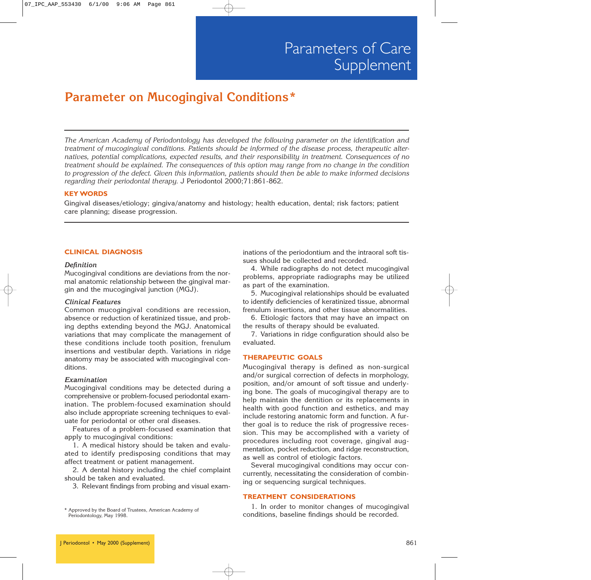## <span id="page-17-0"></span>**Parameter on Mucogingival Conditions\***

*The American Academy of Periodontology has developed the following parameter on the identification and treatment of mucogingival conditions. Patients should be informed of the disease process, therapeutic alternatives, potential complications, expected results, and their responsibility in treatment. Consequences of no treatment should be explained. The consequences of this option may range from no change in the condition to progression of the defect. Given this information, patients should then be able to make informed decisions regarding their periodontal therapy.* J Periodontol 2000;71:861-862.

#### **KEY WORDS**

Gingival diseases/etiology; gingiva/anatomy and histology; health education, dental; risk factors; patient care planning; disease progression.

### **CLINICAL DIAGNOSIS**

#### *Definition*

Mucogingival conditions are deviations from the normal anatomic relationship between the gingival margin and the mucogingival junction (MGJ).

#### *Clinical Features*

Common mucogingival conditions are recession, absence or reduction of keratinized tissue, and probing depths extending beyond the MGJ. Anatomical variations that may complicate the management of these conditions include tooth position, frenulum insertions and vestibular depth. Variations in ridge anatomy may be associated with mucogingival conditions.

#### *Examination*

Mucogingival conditions may be detected during a comprehensive or problem-focused periodontal examination. The problem-focused examination should also include appropriate screening techniques to evaluate for periodontal or other oral diseases.

Features of a problem-focused examination that apply to mucogingival conditions:

1. A medical history should be taken and evaluated to identify predisposing conditions that may affect treatment or patient management.

2. A dental history including the chief complaint should be taken and evaluated.

3. Relevant findings from probing and visual exam-

inations of the periodontium and the intraoral soft tissues should be collected and recorded.

4. While radiographs do not detect mucogingival problems, appropriate radiographs may be utilized as part of the examination.

5. Mucogingival relationships should be evaluated to identify deficiencies of keratinized tissue, abnormal frenulum insertions, and other tissue abnormalities.

6. Etiologic factors that may have an impact on the results of therapy should be evaluated.

7. Variations in ridge configuration should also be evaluated.

#### **THERAPEUTIC GOALS**

Mucogingival therapy is defined as non-surgical and/or surgical correction of defects in morphology, position, and/or amount of soft tissue and underlying bone. The goals of mucogingival therapy are to help maintain the dentition or its replacements in health with good function and esthetics, and may include restoring anatomic form and function. A further goal is to reduce the risk of progressive recession. This may be accomplished with a variety of procedures including root coverage, gingival augmentation, pocket reduction, and ridge reconstruction, as well as control of etiologic factors.

Several mucogingival conditions may occur concurrently, necessitating the consideration of combining or sequencing surgical techniques.

#### **TREATMENT CONSIDERATIONS**

1. In order to monitor changes of mucogingival conditions, baseline findings should be recorded.

<sup>\*</sup> Approved by the Board of Trustees, American Academy of Periodontology, May 1998.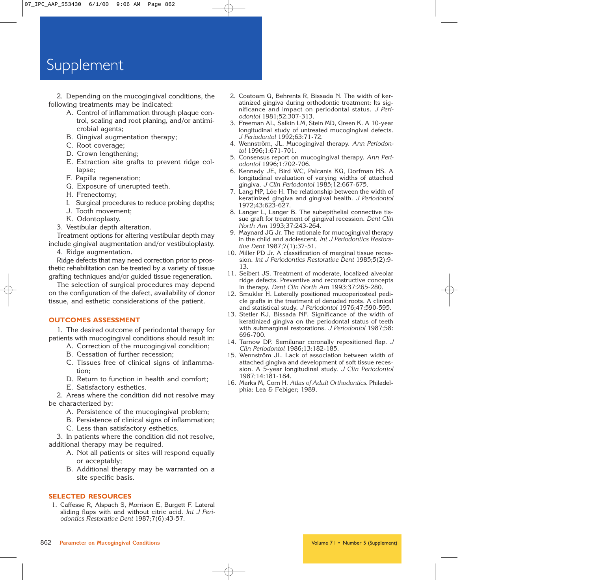2. Depending on the mucogingival conditions, the following treatments may be indicated:

- A. Control of inflammation through plaque control, scaling and root planing, and/or antimicrobial agents;
- B. Gingival augmentation therapy;
- C. Root coverage;
- D. Crown lengthening;
- E. Extraction site grafts to prevent ridge collapse;
- F. Papilla regeneration;
- G. Exposure of unerupted teeth.
- H. Frenectomy;
- I. Surgical procedures to reduce probing depths;
- J. Tooth movement;
- K. Odontoplasty.
- 3. Vestibular depth alteration.

Treatment options for altering vestibular depth may include gingival augmentation and/or vestibuloplasty.

4. Ridge augmentation.

Ridge defects that may need correction prior to prosthetic rehabilitation can be treated by a variety of tissue grafting techniques and/or guided tissue regeneration.

The selection of surgical procedures may depend on the configuration of the defect, availability of donor tissue, and esthetic considerations of the patient.

#### **OUTCOMES ASSESSMENT**

1. The desired outcome of periodontal therapy for patients with mucogingival conditions should result in:

- A. Correction of the mucogingival condition;
- B. Cessation of further recession;
- C. Tissues free of clinical signs of inflammation;
- D. Return to function in health and comfort;
- E. Satisfactory esthetics.

2. Areas where the condition did not resolve may be characterized by:

- A. Persistence of the mucogingival problem;
- B. Persistence of clinical signs of inflammation;
- C. Less than satisfactory esthetics.

3. In patients where the condition did not resolve, additional therapy may be required.

- A. Not all patients or sites will respond equally or acceptably;
- B. Additional therapy may be warranted on a site specific basis.

#### **SELECTED RESOURCES**

1. Caffesse R, Alspach S, Morrison E, Burgett F. Lateral sliding flaps with and without citric acid. *Int J Periodontics Restorative Dent* 1987;7(6):43-57.

- 2. Coatoam G, Behrents R, Bissada N. The width of keratinized gingiva during orthodontic treatment: Its significance and impact on periodontal status. *J Periodontol* 1981;52:307-313.
- 3. Freeman AL, Salkin LM, Stein MD, Green K. A 10-year longitudinal study of untreated mucogingival defects. *J Periodontol* 1992;63:71-72.
- 4. Wennström, JL. Mucogingival therapy. *Ann Periodontol* 1996;1:671-701.
- 5. Consensus report on mucogingival therapy. *Ann Periodontol* 1996;1:702-706.
- 6. Kennedy JE, Bird WC, Palcanis KG, Dorfman HS. A longitudinal evaluation of varying widths of attached gingiva. *J Clin Periodontol* 1985;12:667-675.
- 7. Lang NP, Löe H. The relationship between the width of keratinized gingiva and gingival health. *J Periodontol* 1972;43:623-627.
- 8. Langer L, Langer B. The subepithelial connective tissue graft for treatment of gingival recession. *Dent Clin North Am* 1993;37:243-264.
- 9. Maynard JG Jr. The rationale for mucogingival therapy in the child and adolescent. *Int J Periodontics Restorative Dent* 1987;7(1):37-51.
- 10. Miller PD Jr. A classification of marginal tissue recession. *Int J Periodontics Restorative Dent* 1985;5(2):9- 13.
- 11. Seibert JS. Treatment of moderate, localized alveolar ridge defects. Preventive and reconstructive concepts in therapy. *Dent Clin North Am* 1993;37:265-280.
- 12. Smukler H. Laterally positioned mucoperiosteal pedicle grafts in the treatment of denuded roots. A clinical and statistical study. *J Periodontol* 1976;47:590-595.
- 13. Stetler KJ, Bissada NF. Significance of the width of keratinized gingiva on the periodontal status of teeth with submarginal restorations. *J Periodontol* 1987;58: 696-700.
- 14. Tarnow DP. Semilunar coronally repositioned flap. *J Clin Periodontol* 1986;13:182-185.
- 15. Wennström JL. Lack of association between width of attached gingiva and development of soft tissue recession. A 5-year longitudinal study. *J Clin Periodontol* 1987;14:181-184.
- 16. Marks M, Corn H. *Atlas of Adult Orthodontics.* Philadelphia: Lea & Febiger; 1989.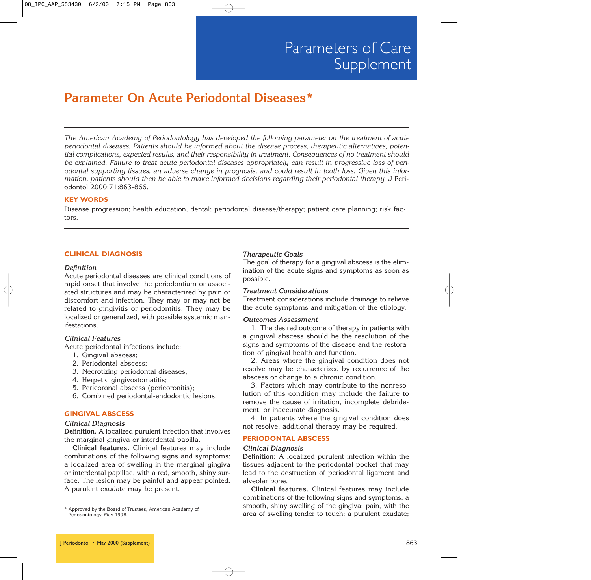## <span id="page-19-0"></span>**Parameter On Acute Periodontal Diseases\***

*The American Academy of Periodontology has developed the following parameter on the treatment of acute periodontal diseases. Patients should be informed about the disease process, therapeutic alternatives, potential complications, expected results, and their responsibility in treatment. Consequences of no treatment should be explained. Failure to treat acute periodontal diseases appropriately can result in progressive loss of periodontal supporting tissues, an adverse change in prognosis, and could result in tooth loss. Given this information, patients should then be able to make informed decisions regarding their periodontal therapy.* J Periodontol 2000;71:863-866.

## **KEY WORDS**

Disease progression; health education, dental; periodontal disease/therapy; patient care planning; risk factors.

## **CLINICAL DIAGNOSIS**

## *Definition*

Acute periodontal diseases are clinical conditions of rapid onset that involve the periodontium or associated structures and may be characterized by pain or discomfort and infection. They may or may not be related to gingivitis or periodontitis. They may be localized or generalized, with possible systemic manifestations.

## *Clinical Features*

Acute periodontal infections include:

- 1. Gingival abscess;
- 2. Periodontal abscess;
- 3. Necrotizing periodontal diseases;
- 4. Herpetic gingivostomatitis;
- 5. Pericoronal abscess (pericoronitis);
- 6. Combined periodontal-endodontic lesions.

## **GINGIVAL ABSCESS**

## *Clinical Diagnosis*

**Definition.** A localized purulent infection that involves the marginal gingiva or interdental papilla.

**Clinical features.** Clinical features may include combinations of the following signs and symptoms: a localized area of swelling in the marginal gingiva or interdental papillae, with a red, smooth, shiny surface. The lesion may be painful and appear pointed. A purulent exudate may be present.

\* Approved by the Board of Trustees, American Academy of Periodontology, May 1998.

### *Therapeutic Goals*

The goal of therapy for a gingival abscess is the elimination of the acute signs and symptoms as soon as possible.

#### *Treatment Considerations*

Treatment considerations include drainage to relieve the acute symptoms and mitigation of the etiology.

#### *Outcomes Assessment*

1. The desired outcome of therapy in patients with a gingival abscess should be the resolution of the signs and symptoms of the disease and the restoration of gingival health and function.

2. Areas where the gingival condition does not resolve may be characterized by recurrence of the abscess or change to a chronic condition.

3. Factors which may contribute to the nonresolution of this condition may include the failure to remove the cause of irritation, incomplete debridement, or inaccurate diagnosis.

4. In patients where the gingival condition does not resolve, additional therapy may be required.

### **PERIODONTAL ABSCESS**

#### *Clinical Diagnosis*

**Definition:** A localized purulent infection within the tissues adjacent to the periodontal pocket that may lead to the destruction of periodontal ligament and alveolar bone.

**Clinical features.** Clinical features may include combinations of the following signs and symptoms: a smooth, shiny swelling of the gingiva; pain, with the area of swelling tender to touch; a purulent exudate;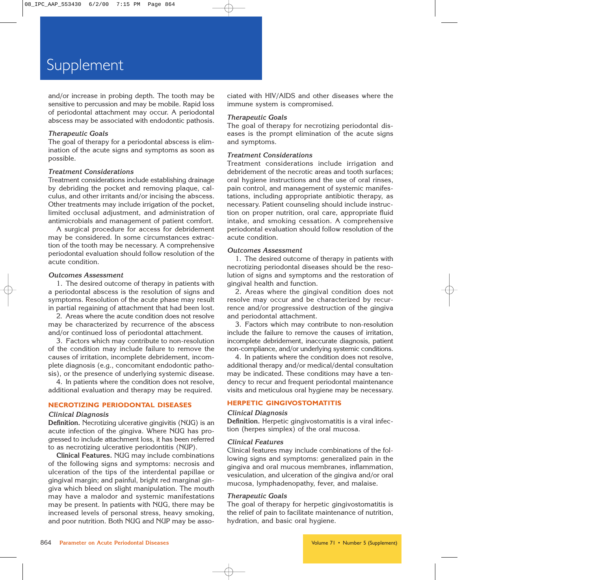and/or increase in probing depth. The tooth may be sensitive to percussion and may be mobile. Rapid loss of periodontal attachment may occur. A periodontal abscess may be associated with endodontic pathosis.

#### *Therapeutic Goals*

The goal of therapy for a periodontal abscess is elimination of the acute signs and symptoms as soon as possible.

#### *Treatment Considerations*

Treatment considerations include establishing drainage by debriding the pocket and removing plaque, calculus, and other irritants and/or incising the abscess. Other treatments may include irrigation of the pocket, limited occlusal adjustment, and administration of antimicrobials and management of patient comfort.

A surgical procedure for access for debridement may be considered. In some circumstances extraction of the tooth may be necessary. A comprehensive periodontal evaluation should follow resolution of the acute condition.

#### *Outcomes Assessment*

1. The desired outcome of therapy in patients with a periodontal abscess is the resolution of signs and symptoms. Resolution of the acute phase may result in partial regaining of attachment that had been lost.

2. Areas where the acute condition does not resolve may be characterized by recurrence of the abscess and/or continued loss of periodontal attachment.

3. Factors which may contribute to non-resolution of the condition may include failure to remove the causes of irritation, incomplete debridement, incomplete diagnosis (e.g., concomitant endodontic pathosis), or the presence of underlying systemic disease.

4. In patients where the condition does not resolve, additional evaluation and therapy may be required.

#### **NECROTIZING PERIODONTAL DISEASES**

#### *Clinical Diagnosis*

**Definition.** Necrotizing ulcerative gingivitis (NUG) is an acute infection of the gingiva. Where NUG has progressed to include attachment loss, it has been referred to as necrotizing ulcerative periodontitis (NUP).

**Clinical Features.** NUG may include combinations of the following signs and symptoms: necrosis and ulceration of the tips of the interdental papillae or gingival margin; and painful, bright red marginal gingiva which bleed on slight manipulation. The mouth may have a malodor and systemic manifestations may be present. In patients with NUG, there may be increased levels of personal stress, heavy smoking, and poor nutrition. Both NUG and NUP may be associated with HIV/AIDS and other diseases where the immune system is compromised.

#### *Therapeutic Goals*

The goal of therapy for necrotizing periodontal diseases is the prompt elimination of the acute signs and symptoms.

#### *Treatment Considerations*

Treatment considerations include irrigation and debridement of the necrotic areas and tooth surfaces; oral hygiene instructions and the use of oral rinses, pain control, and management of systemic manifestations, including appropriate antibiotic therapy, as necessary. Patient counseling should include instruction on proper nutrition, oral care, appropriate fluid intake, and smoking cessation. A comprehensive periodontal evaluation should follow resolution of the acute condition.

#### *Outcomes Assessment*

1. The desired outcome of therapy in patients with necrotizing periodontal diseases should be the resolution of signs and symptoms and the restoration of gingival health and function.

2. Areas where the gingival condition does not resolve may occur and be characterized by recurrence and/or progressive destruction of the gingiva and periodontal attachment.

3. Factors which may contribute to non-resolution include the failure to remove the causes of irritation, incomplete debridement, inaccurate diagnosis, patient non-compliance, and/or underlying systemic conditions.

4. In patients where the condition does not resolve, additional therapy and/or medical/dental consultation may be indicated. These conditions may have a tendency to recur and frequent periodontal maintenance visits and meticulous oral hygiene may be necessary.

#### **HERPETIC GINGIVOSTOMATITIS**

#### *Clinical Diagnosis*

**Definition.** Herpetic gingivostomatitis is a viral infection (herpes simplex) of the oral mucosa.

#### *Clinical Features*

Clinical features may include combinations of the following signs and symptoms: generalized pain in the gingiva and oral mucous membranes, inflammation, vesiculation, and ulceration of the gingiva and/or oral mucosa, lymphadenopathy, fever, and malaise.

#### *Therapeutic Goals*

The goal of therapy for herpetic gingivostomatitis is the relief of pain to facilitate maintenance of nutrition, hydration, and basic oral hygiene.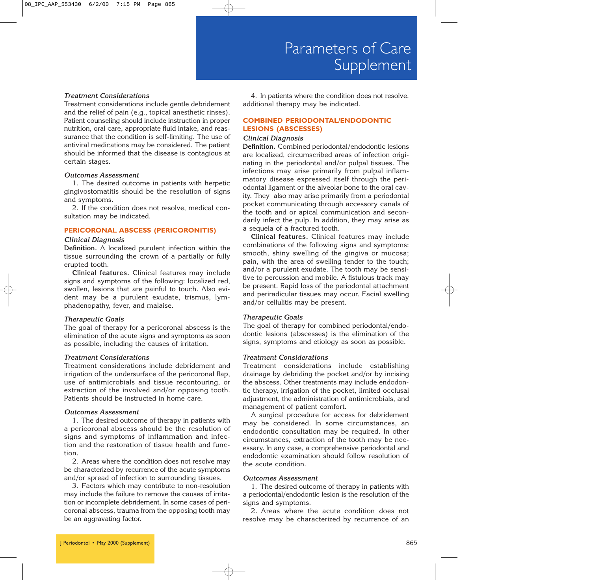## *Treatment Considerations*

Treatment considerations include gentle debridement and the relief of pain (e.g., topical anesthetic rinses). Patient counseling should include instruction in proper nutrition, oral care, appropriate fluid intake, and reassurance that the condition is self-limiting. The use of antiviral medications may be considered. The patient should be informed that the disease is contagious at certain stages.

### *Outcomes Assessment*

1. The desired outcome in patients with herpetic gingivostomatitis should be the resolution of signs and symptoms.

2. If the condition does not resolve, medical consultation may be indicated.

## **PERICORONAL ABSCESS (PERICORONITIS)**

### *Clinical Diagnosis*

**Definition.** A localized purulent infection within the tissue surrounding the crown of a partially or fully erupted tooth.

**Clinical features.** Clinical features may include signs and symptoms of the following: localized red, swollen, lesions that are painful to touch. Also evident may be a purulent exudate, trismus, lymphadenopathy, fever, and malaise.

## *Therapeutic Goals*

The goal of therapy for a pericoronal abscess is the elimination of the acute signs and symptoms as soon as possible, including the causes of irritation.

## *Treatment Considerations*

Treatment considerations include debridement and irrigation of the undersurface of the pericoronal flap, use of antimicrobials and tissue recontouring, or extraction of the involved and/or opposing tooth. Patients should be instructed in home care.

## *Outcomes Assessment*

1. The desired outcome of therapy in patients with a pericoronal abscess should be the resolution of signs and symptoms of inflammation and infection and the restoration of tissue health and function.

2. Areas where the condition does not resolve may be characterized by recurrence of the acute symptoms and/or spread of infection to surrounding tissues.

3. Factors which may contribute to non-resolution may include the failure to remove the causes of irritation or incomplete debridement. In some cases of pericoronal abscess, trauma from the opposing tooth may be an aggravating factor.

4. In patients where the condition does not resolve, additional therapy may be indicated.

### **COMBINED PERIODONTAL/ENDODONTIC LESIONS (ABSCESSES)**

### *Clinical Diagnosis*

**Definition.** Combined periodontal/endodontic lesions are localized, circumscribed areas of infection originating in the periodontal and/or pulpal tissues. The infections may arise primarily from pulpal inflammatory disease expressed itself through the periodontal ligament or the alveolar bone to the oral cavity. They also may arise primarily from a periodontal pocket communicating through accessory canals of the tooth and or apical communication and secondarily infect the pulp. In addition, they may arise as a sequela of a fractured tooth.

**Clinical features.** Clinical features may include combinations of the following signs and symptoms: smooth, shiny swelling of the gingiva or mucosa; pain, with the area of swelling tender to the touch; and/or a purulent exudate. The tooth may be sensitive to percussion and mobile. A fistulous track may be present. Rapid loss of the periodontal attachment and periradicular tissues may occur. Facial swelling and/or cellulitis may be present.

## *Therapeutic Goals*

The goal of therapy for combined periodontal/endodontic lesions (abscesses) is the elimination of the signs, symptoms and etiology as soon as possible.

## *Treatment Considerations*

Treatment considerations include establishing drainage by debriding the pocket and/or by incising the abscess. Other treatments may include endodontic therapy, irrigation of the pocket, limited occlusal adjustment, the administration of antimicrobials, and management of patient comfort.

A surgical procedure for access for debridement may be considered. In some circumstances, an endodontic consultation may be required. In other circumstances, extraction of the tooth may be necessary. In any case, a comprehensive periodontal and endodontic examination should follow resolution of the acute condition.

## *Outcomes Assessment*

1. The desired outcome of therapy in patients with a periodontal/endodontic lesion is the resolution of the signs and symptoms.

2. Areas where the acute condition does not resolve may be characterized by recurrence of an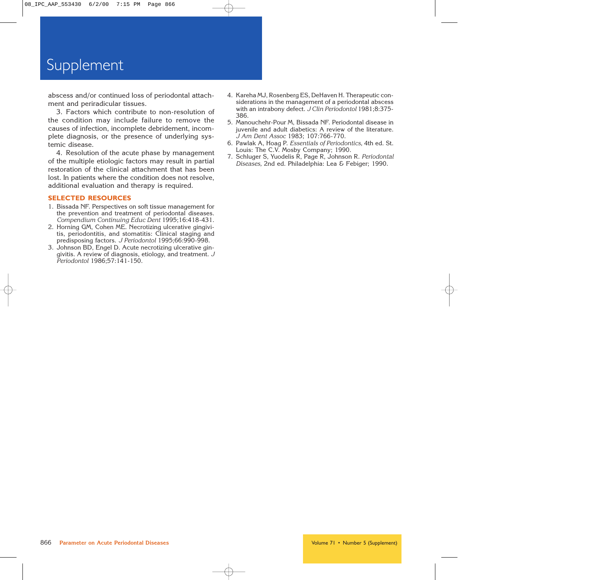abscess and/or continued loss of periodontal attachment and periradicular tissues.

3. Factors which contribute to non-resolution of the condition may include failure to remove the causes of infection, incomplete debridement, incomplete diagnosis, or the presence of underlying systemic disease.

4. Resolution of the acute phase by management of the multiple etiologic factors may result in partial restoration of the clinical attachment that has been lost. In patients where the condition does not resolve, additional evaluation and therapy is required.

- 1. Bissada NF. Perspectives on soft tissue management for the prevention and treatment of periodontal diseases. *Compendium Continuing Educ Dent* 1995;16:418-431.
- 2. Horning GM, Cohen ME. Necrotizing ulcerative gingivitis, periodontitis, and stomatitis: Clinical staging and predisposing factors. *J Periodontol* 1995;66:990-998.
- 3. Johnson BD, Engel D. Acute necrotizing ulcerative gingivitis. A review of diagnosis, etiology, and treatment. *J Periodontol* 1986;57:141-150.
- 4. Kareha MJ, Rosenberg ES, DeHaven H. Therapeutic considerations in the management of a periodontal abscess with an intrabony defect. *J Clin Periodontol* 1981;8:375- 386.
- 5. Manouchehr-Pour M, Bissada NF. Periodontal disease in juvenile and adult diabetics: A review of the literature. *J Am Dent Assoc* 1983; 107:766-770.
- 6. Pawlak A, Hoag P. *Essentials of Periodontics,* 4th ed. St. Louis: The C.V. Mosby Company; 1990.
- 7. Schluger S, Yuodelis R, Page R, Johnson R. *Periodontal Diseases,* 2nd ed. Philadelphia: Lea & Febiger; 1990.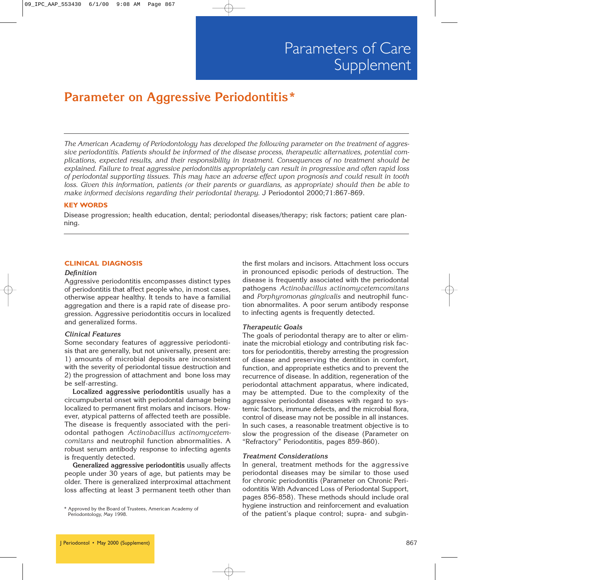## <span id="page-23-0"></span>**Parameter on Aggressive Periodontitis\***

*The American Academy of Periodontology has developed the following parameter on the treatment of aggressive periodontitis. Patients should be informed of the disease process, therapeutic alternatives, potential complications, expected results, and their responsibility in treatment. Consequences of no treatment should be explained. Failure to treat aggressive periodontitis appropriately can result in progressive and often rapid loss of periodontal supporting tissues. This may have an adverse effect upon prognosis and could result in tooth loss. Given this information, patients (or their parents or guardians, as appropriate) should then be able to make informed decisions regarding their periodontal therapy.* J Periodontol 2000;71:867-869.

### **KEY WORDS**

Disease progression; health education, dental; periodontal diseases/therapy; risk factors; patient care planning.

## **CLINICAL DIAGNOSIS**

### *Definition*

Aggressive periodontitis encompasses distinct types of periodontitis that affect people who, in most cases, otherwise appear healthy. It tends to have a familial aggregation and there is a rapid rate of disease progression. Aggressive periodontitis occurs in localized and generalized forms.

## *Clinical Features*

Some secondary features of aggressive periodontisis that are generally, but not universally, present are: 1) amounts of microbial deposits are inconsistent with the severity of periodontal tissue destruction and 2) the progression of attachment and bone loss may be self-arresting.

**Localized aggressive periodontitis** usually has a circumpubertal onset with periodontal damage being localized to permanent first molars and incisors. However, atypical patterns of affected teeth are possible. The disease is frequently associated with the periodontal pathogen *Actinobacillus actinomycetemcomitans* and neutrophil function abnormalities. A robust serum antibody response to infecting agents is frequently detected.

**Generalized aggressive periodontitis** usually affects people under 30 years of age, but patients may be older. There is generalized interproximal attachment loss affecting at least 3 permanent teeth other than

\* Approved by the Board of Trustees, American Academy of Periodontology, May 1998.

the first molars and incisors. Attachment loss occurs in pronounced episodic periods of destruction. The disease is frequently associated with the periodontal pathogens *Actinobacillus actinomycetemcomitans* and *Porphyromonas gingivalis* and neutrophil function abnormalites. A poor serum antibody response to infecting agents is frequently detected.

## *Therapeutic Goals*

The goals of periodontal therapy are to alter or eliminate the microbial etiology and contributing risk factors for periodontitis, thereby arresting the progression of disease and preserving the dentition in comfort, function, and appropriate esthetics and to prevent the recurrence of disease. In addition, regeneration of the periodontal attachment apparatus, where indicated, may be attempted. Due to the complexity of the aggressive periodontal diseases with regard to systemic factors, immune defects, and the microbial flora, control of disease may not be possible in all instances. In such cases, a reasonable treatment objective is to slow the progression of the disease (Parameter on "Refractory" Periodontitis, pages 859-860).

## *Treatment Considerations*

In general, treatment methods for the aggressive periodontal diseases may be similar to those used for chronic periodontitis (Parameter on Chronic Periodontitis With Advanced Loss of Periodontal Support, pages 856-858). These methods should include oral hygiene instruction and reinforcement and evaluation of the patient's plaque control; supra- and subgin-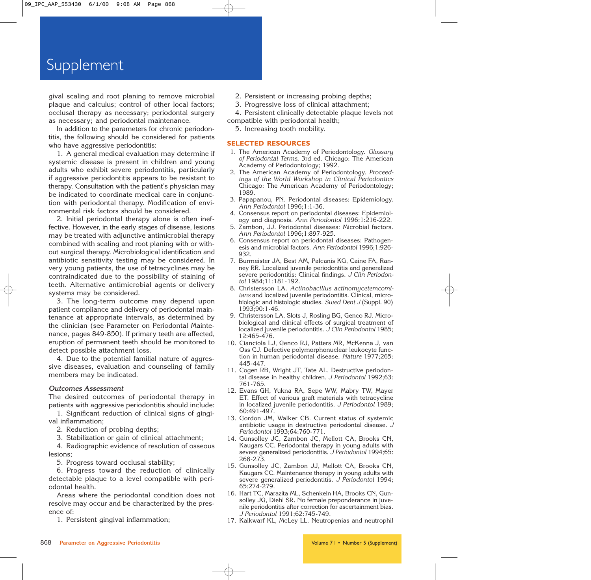gival scaling and root planing to remove microbial plaque and calculus; control of other local factors; occlusal therapy as necessary; periodontal surgery as necessary; and periodontal maintenance.

In addition to the parameters for chronic periodontitis, the following should be considered for patients who have aggressive periodontitis:

1. A general medical evaluation may determine if systemic disease is present in children and young adults who exhibit severe periodontitis, particularly if aggressive periodontitis appears to be resistant to therapy. Consultation with the patient's physician may be indicated to coordinate medical care in conjunction with periodontal therapy. Modification of environmental risk factors should be considered.

2. Initial periodontal therapy alone is often ineffective. However, in the early stages of disease, lesions may be treated with adjunctive antimicrobial therapy combined with scaling and root planing with or without surgical therapy. Microbiological identification and antibiotic sensitivity testing may be considered. In very young patients, the use of tetracyclines may be contraindicated due to the possibility of staining of teeth. Alternative antimicrobial agents or delivery systems may be considered.

3. The long-term outcome may depend upon patient compliance and delivery of periodontal maintenance at appropriate intervals, as determined by the clinician (see Parameter on Periodontal Maintenance, pages 849-850). If primary teeth are affected, eruption of permanent teeth should be monitored to detect possible attachment loss.

4. Due to the potential familial nature of aggressive diseases, evaluation and counseling of family members may be indicated.

#### *Outcomes Assessment*

The desired outcomes of periodontal therapy in patients with aggressive periodontitis should include:

1. Significant reduction of clinical signs of gingival inflammation;

2. Reduction of probing depths;

3. Stabilization or gain of clinical attachment;

4. Radiographic evidence of resolution of osseous lesions;

5. Progress toward occlusal stability;

6. Progress toward the reduction of clinically detectable plaque to a level compatible with periodontal health.

Areas where the periodontal condition does not resolve may occur and be characterized by the presence of:

1. Persistent gingival inflammation;

- 2. Persistent or increasing probing depths;
- 3. Progressive loss of clinical attachment;

4. Persistent clinically detectable plaque levels not compatible with periodontal health;

5. Increasing tooth mobility.

- 1. The American Academy of Periodontology. *Glossary of Periodontal Terms*, 3rd ed*.* Chicago: The American Academy of Periodontology; 1992.
- 2. The American Academy of Periodontology. *Proceedings of the World Workshop in Clinical Periodontics* Chicago: The American Academy of Periodontology; 1989.
- 3. Papapanou, PN. Periodontal diseases: Epidemiology. *Ann Periodontol* 1996;1:1-36.
- 4. Consensus report on periodontal diseases: Epidemiology and diagnosis. *Ann Periodontol* 1996;1:216-222.
- 5. Zambon, JJ. Periodontal diseases: Microbial factors. *Ann Periodontol* 1996;1:897-925.
- 6. Consensus report on periodontal diseases: Pathogenesis and microbial factors. *Ann Periodontol* 1996;1:926- 932.
- 7. Burmeister JA, Best AM, Palcanis KG, Caine FA, Ranney RR. Localized juvenile periodontitis and generalized severe periodontitis: Clinical findings. *J Clin Periodontol* 1984;11:181-192.
- 8. Christersson LA. *Actinobacillus actinomycetemcomitans* and localized juvenile periodontitis. Clinical, microbiologic and histologic studies. *Swed Dent J* (Suppl. 90) 1993;90:1-46.
- 9. Christersson LA, Slots J, Rosling BG, Genco RJ. Microbiological and clinical effects of surgical treatment of localized juvenile periodontitis. *J Clin Periodontol* 1985; 12:465-476.
- 10. Cianciola LJ, Genco RJ, Patters MR, McKenna J, van Oss CJ. Defective polymorphonuclear leukocyte function in human periodontal disease. *Nature* 1977;265: 445-447.
- 11. Cogen RB, Wright JT, Tate AL. Destructive periodontal disease in healthy children. *J Periodontol* 1992;63: 761-765.
- 12. Evans GH, Yukna RA, Sepe WW, Mabry TW, Mayer ET. Effect of various graft materials with tetracycline in localized juvenile periodontitis. *J Periodontol* 1989; 60:491-497.
- 13. Gordon JM, Walker CB. Current status of systemic antibiotic usage in destructive periodontal disease. *J Periodontol* 1993;64:760-771.
- 14. Gunsolley JC, Zambon JC, Mellott CA, Brooks CN, Kaugars CC. Periodontal therapy in young adults with severe generalized periodontitis. *J Periodontol* 1994;65: 268-273.
- 15. Gunsolley JC, Zambon JJ, Mellott CA, Brooks CN, Kaugars CC. Maintenance therapy in young adults with severe generalized periodontitis. *J Periodontol* 1994; 65:274-279.
- 16. Hart TC, Marazita ML, Schenkein HA, Brooks CN, Gunsolley JG, Diehl SR. No female preponderance in juvenile periodontitis after correction for ascertainment bias. *J Periodontol* 1991;62:745-749.
- 17. Kalkwarf KL, McLey LL. Neutropenias and neutrophil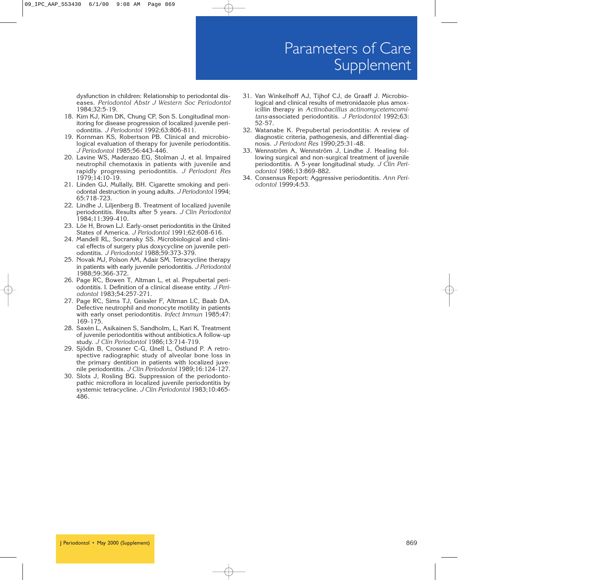dysfunction in children: Relationship to periodontal diseases. *Periodontol Abstr J Western Soc Periodontol* 1984;32:5-19.

- 18. Kim KJ, Kim DK, Chung CP, Son S. Longitudinal monitoring for disease progression of localized juvenile periodontitis. *J Periodontol* 1992;63:806-811.
- 19. Kornman KS, Robertson PB. Clinical and microbiological evaluation of therapy for juvenile periodontitis. *J Periodontol* 1985;56:443-446.
- 20. Lavine WS, Maderazo EG, Stolman J, et al. Impaired neutrophil chemotaxis in patients with juvenile and rapidly progressing periodontitis. *J Periodont Res* 1979;14:10-19.
- 21. Linden GJ, Mullally, BH. Cigarette smoking and periodontal destruction in young adults. *J Periodontol* 1994; 65:718-723.
- 22. Lindhe J, Liljenberg B. Treatment of localized juvenile periodontitis. Results after 5 years. *J Clin Periodontol* 1984;11:399-410.
- 23. Löe H, Brown LJ. Early-onset periodontitis in the United States of America. *J Periodontol* 1991;62:608-616.
- 24. Mandell RL, Socransky SS. Microbiological and clinical effects of surgery plus doxycycline on juvenile periodontitis. *J Periodontol* 1988;59:373-379.
- 25. Novak MJ, Polson AM, Adair SM. Tetracycline therapy in patients with early juvenile periodontitis. *J Periodontol* 1988;59:366-372.
- 26. Page RC, Bowen T, Altman L, et al. Prepubertal periodontitis. I. Definition of a clinical disease entity. *J Periodontol* 1983;54:257-271.
- 27. Page RC, Sims TJ, Geissler F, Altman LC, Baab DA. Defective neutrophil and monocyte motility in patients with early onset periodontitis. *Infect Immun* 1985;47: 169-175.
- 28. Saxén L, Asikainen S, Sandholm, L, Kari K. Treatment of juvenile periodontitis without antibiotics.A follow-up study. *J Clin Periodontol* 1986;13:714-719.
- 29. Sjödin B, Crossner C-G, Unell L, Östlund P. A retrospective radiographic study of alveolar bone loss in the primary dentition in patients with localized juvenile periodontitis. *J Clin Periodontol* 1989;16:124-127.
- 30. Slots J, Rosling BG. Suppression of the periodontopathic microflora in localized juvenile periodontitis by systemic tetracycline. *J Clin Periodontol* 1983;10:465- 486.
- 31. Van Winkelhoff AJ, Tijhof CJ, de Graaff J. Microbiological and clinical results of metronidazole plus amoxicillin therapy in *Actinobacillus actinomycetemcomitans-*associated periodontitis. *J Periodontol* 1992;63: 52-57.
- 32. Watanabe K. Prepubertal periodontitis: A review of diagnostic criteria, pathogenesis, and differential diagnosis. *J Periodont Res* 1990;25:31-48.
- 33. Wennström A, Wennström J, Lindhe J. Healing following surgical and non-surgical treatment of juvenile periodontitis. A 5-year longitudinal study. *J Clin Periodontol* 1986;13:869-882.
- 34. Consensus Report: Aggressive periodontitis. *Ann Periodontol* 1999;4:53.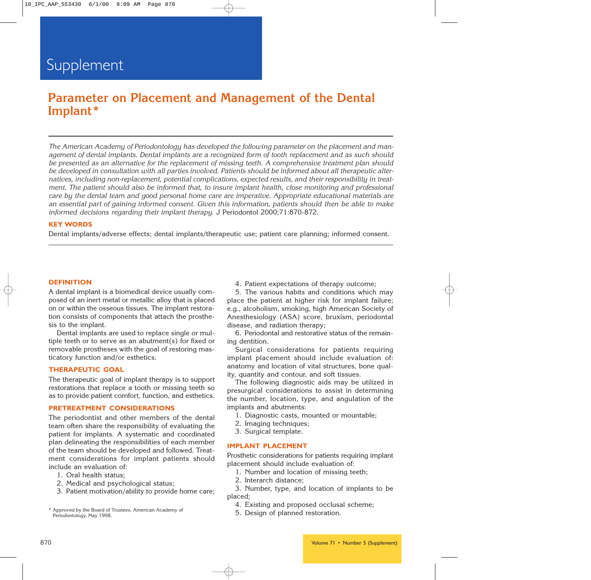## <span id="page-26-0"></span>**Parameter on Placement and Management of the Dental Implant\***

*The American Academy of Periodontology has developed the following parameter on the placement and management of dental implants. Dental implants are a recognized form of tooth replacement and as such should be presented as an alternative for the replacement of missing teeth. A comprehensive treatment plan should be developed in consultation with all parties involved. Patients should be informed about all therapeutic alternatives, including non-replacement, potential complications, expected results, and their responsibility in treatment. The patient should also be informed that, to insure implant health, close monitoring and professional care by the dental team and good personal home care are imperative. Appropriate educational materials are an essential part of gaining informed consent. Given this information, patients should then be able to make informed decisions regarding their implant therapy.* J Periodontol 2000;71:870-872.

#### **KEY WORDS**

Dental implants/adverse effects; dental implants/therapeutic use; patient care planning; informed consent.

#### **DEFINITION**

A dental implant is a biomedical device usually composed of an inert metal or metallic alloy that is placed on or within the osseous tissues. The implant restoration consists of components that attach the prosthesis to the implant.

Dental implants are used to replace single or multiple teeth or to serve as an abutment(s) for fixed or removable prostheses with the goal of restoring masticatory function and/or esthetics.

#### **THERAPEUTIC GOAL**

The therapeutic goal of implant therapy is to support restorations that replace a tooth or missing teeth so as to provide patient comfort, function, and esthetics.

#### **PRETREATMENT CONSIDERATIONS**

The periodontist and other members of the dental team often share the responsibility of evaluating the patient for implants. A systematic and coordinated plan delineating the responsibilities of each member of the team should be developed and followed. Treatment considerations for implant patients should include an evaluation of:

- 1. Oral health status;
- 2. Medical and psychological status;
- 3. Patient motivation/ability to provide home care;

\* Approved by the Board of Trustees, American Academy of Periodontology, May 1998.

4. Patient expectations of therapy outcome;

5. The various habits and conditions which may place the patient at higher risk for implant failure; e.g., alcoholism, smoking, high American Society of Anesthesiology (ASA) score, bruxism, periodontal disease, and radiation therapy;

6. Periodontal and restorative status of the remaining dentition.

Surgical considerations for patients requiring implant placement should include evaluation of: anatomy and location of vital structures, bone quality, quantity and contour, and soft tissues.

The following diagnostic aids may be utilized in presurgical considerations to assist in determining the number, location, type, and angulation of the implants and abutments:

- 1. Diagnostic casts, mounted or mountable;
- 2. Imaging techniques;
- 3. Surgical template.

#### **IMPLANT PLACEMENT**

Prosthetic considerations for patients requiring implant placement should include evaluation of:

- 1. Number and location of missing teeth;
- 2. Interarch distance;

3. Number, type, and location of implants to be placed;

- 4. Existing and proposed occlusal scheme;
- 5. Design of planned restoration.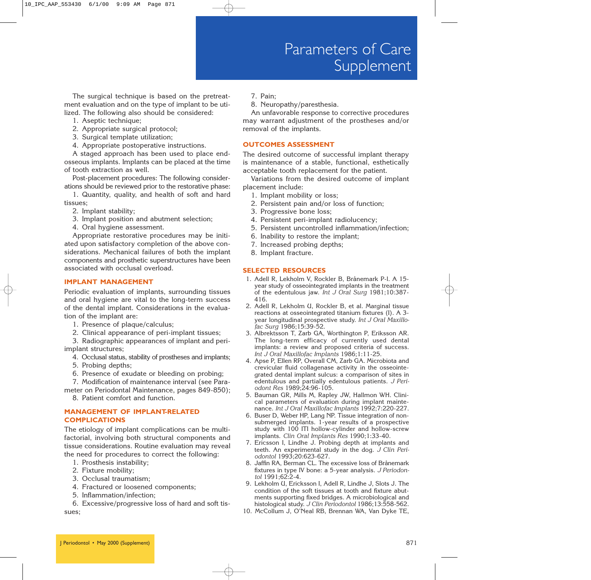The surgical technique is based on the pretreatment evaluation and on the type of implant to be utilized. The following also should be considered:

- 1. Aseptic technique;
- 2. Appropriate surgical protocol;
- 3. Surgical template utilization;
- 4. Appropriate postoperative instructions.

A staged approach has been used to place endosseous implants. Implants can be placed at the time of tooth extraction as well.

Post-placement procedures: The following considerations should be reviewed prior to the restorative phase:

1. Quantity, quality, and health of soft and hard tissues;

- 2. Implant stability;
- 3. Implant position and abutment selection;
- 4. Oral hygiene assessment.

Appropriate restorative procedures may be initiated upon satisfactory completion of the above considerations. Mechanical failures of both the implant components and prosthetic superstructures have been associated with occlusal overload.

### **IMPLANT MANAGEMENT**

Periodic evaluation of implants, surrounding tissues and oral hygiene are vital to the long-term success of the dental implant. Considerations in the evaluation of the implant are:

1. Presence of plaque/calculus;

2. Clinical appearance of peri-implant tissues;

3. Radiographic appearances of implant and periimplant structures;

- 4. Occlusal status, stability of prostheses and implants;
- 5. Probing depths;
- 6. Presence of exudate or bleeding on probing;

7. Modification of maintenance interval (see Parameter on Periodontal Maintenance, pages 849-850);

8. Patient comfort and function.

### **MANAGEMENT OF IMPLANT-RELATED COMPLICATIONS**

The etiology of implant complications can be multifactorial, involving both structural components and tissue considerations. Routine evaluation may reveal the need for procedures to correct the following:

- 1. Prosthesis instability;
- 2. Fixture mobility;
- 3. Occlusal traumatism;
- 4. Fractured or loosened components;
- 5. Inflammation/infection;

6. Excessive/progressive loss of hard and soft tissues;

- 7. Pain;
- 8. Neuropathy/paresthesia.

An unfavorable response to corrective procedures may warrant adjustment of the prostheses and/or removal of the implants.

#### **OUTCOMES ASSESSMENT**

The desired outcome of successful implant therapy is maintenance of a stable, functional, esthetically acceptable tooth replacement for the patient.

Variations from the desired outcome of implant placement include:

- 1. Implant mobility or loss;
- 2. Persistent pain and/or loss of function;
- 3. Progressive bone loss;
- 4. Persistent peri-implant radiolucency;
- 5. Persistent uncontrolled inflammation/infection;
- 6. Inability to restore the implant;
- 7. Increased probing depths;
- 8. Implant fracture.

- 1. Adell R, Lekholm V, Rockler B, Brånemark P-l. A 15 year study of osseointegrated implants in the treatment of the edentulous jaw. *Int J Oral Surg* 1981;10:387- 416.
- 2. Adell R, Lekholm U, Rockler B, et al. Marginal tissue reactions at osseointegrated titanium fixtures (I). A 3 year longitudinal prospective study. *Int J Oral Maxillofac Surg* 1986;15:39-52.
- 3. Albrektsson T, Zarb GA, Worthington P, Eriksson AR. The long-term efficacy of currently used dental implants: a review and proposed criteria of success. *Int J Oral Maxillofac Implants* 1986;1:11-25.
- 4. Apse P, Ellen RP, Overall CM, Zarb GA. Microbiota and crevicular fluid collagenase activity in the osseointegrated dental implant sulcus: a comparison of sites in edentulous and partially edentulous patients. *J Periodont Res* 1989;24:96-105.
- 5. Bauman GR, Mills M, Rapley JW, Hallmon WH. Clinical parameters of evaluation during implant maintenance. *Int J Oral Maxillofac Implants* 1992;7:220-227.
- 6. Buser D, Weber HP, Lang NP. Tissue integration of nonsubmerged implants. 1-year results of a prospective study with 100 ITI hollow-cylinder and hollow-screw implants. *Clin Oral Implants Res* 1990;1:33-40.
- 7. Ericsson I, Lindhe J. Probing depth at implants and teeth. An experimental study in the dog. *J Clin Periodontol* 1993;20:623-627.
- 8. Jaffin RA, Berman CL. The excessive loss of Brånemark fixtures in type IV bone: a 5-year analysis. *J Periodontol* 1991;62:2-4.
- 9. Lekholm U, Ericksson I, Adell R, Lindhe J, Slots J. The condition of the soft tissues at tooth and fixture abutments supporting fixed bridges. A microbiological and histological study. *J Clin Periodontol* 1986;13:558-562.
- 10. McCollum J, O'Neal RB, Brennan WA, Van Dyke TE,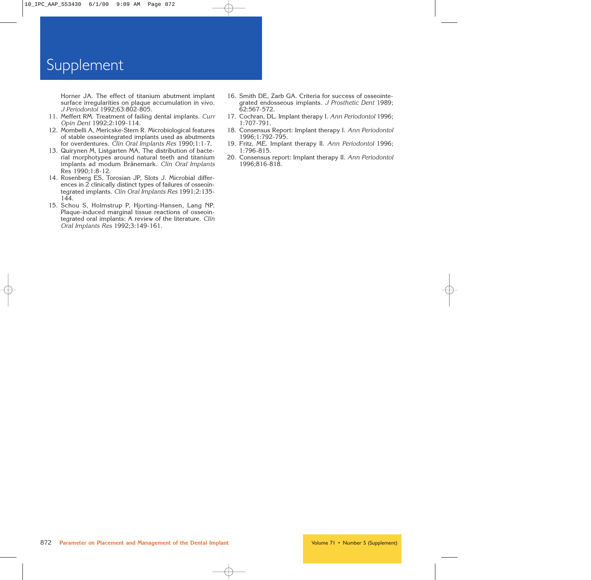Horner JA. The effect of titanium abutment implant surface irregularities on plaque accumulation in vivo. *J Periodontol* 1992;63:802-805.

- 11. Meffert RM. Treatment of failing dental implants. *Curr Opin Dent* 1992;2:109-114.
- 12. Mombelli A, Mericske-Stern R. Microbiological features of stable osseointegrated implants used as abutments for overdentures. *Clin Oral Implants Res* 1990;1:1-7.
- 13. Quirynen M, Listgarten MA. The distribution of bacterial morphotypes around natural teeth and titanium implants ad modum Brånemark. *Clin Oral Implants* Res 1990;1:8-12.
- 14. Rosenberg ES, Torosian JP, Slots J. Microbial differences in 2 clinically distinct types of failures of osseointegrated implants. *Clin Oral Implants Res* 1991;2:135- 144.
- 15. Schou S, Holmstrup P, Hjorting-Hansen, Lang NP. Plaque-induced marginal tissue reactions of osseointegrated oral implants: A review of the literature. *Clin Oral Implants Res* 1992;3:149-161.
- 16. Smith DE, Zarb GA. Criteria for success of osseointegrated endosseous implants. *J Prosthetic Dent* 1989; 62:567-572.
- 17. Cochran, DL. Implant therapy I. *Ann Periodontol* 1996; 1:707-791.
- 18. Consensus Report: Implant therapy I. *Ann Periodontol* 1996;1:792-795.
- 19. Fritz, ME. Implant therapy II. *Ann Periodontol* 1996; 1:796-815.
- 20. Consensus report: Implant therapy II. *Ann Periodontol* 1996;816-818.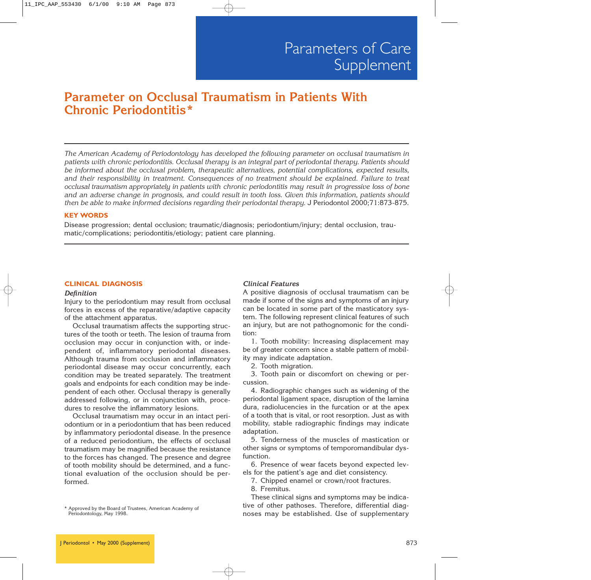## <span id="page-29-0"></span>**Parameter on Occlusal Traumatism in Patients With Chronic Periodontitis\***

*The American Academy of Periodontology has developed the following parameter on occlusal traumatism in patients with chronic periodontitis. Occlusal therapy is an integral part of periodontal therapy. Patients should be informed about the occlusal problem, therapeutic alternatives, potential complications, expected results, and their responsibility in treatment. Consequences of no treatment should be explained. Failure to treat occlusal traumatism appropriately in patients with chronic periodontitis may result in progressive loss of bone and an adverse change in prognosis, and could result in tooth loss. Given this information, patients should then be able to make informed decisions regarding their periodontal therapy.* J Periodontol 2000;71:873-875.

#### **KEY WORDS**

Disease progression; dental occlusion; traumatic/diagnosis; periodontium/injury; dental occlusion, traumatic/complications; periodontitis/etiology; patient care planning.

#### **CLINICAL DIAGNOSIS**

#### *Definition*

Injury to the periodontium may result from occlusal forces in excess of the reparative/adaptive capacity of the attachment apparatus.

Occlusal traumatism affects the supporting structures of the tooth or teeth. The lesion of trauma from occlusion may occur in conjunction with, or independent of, inflammatory periodontal diseases. Although trauma from occlusion and inflammatory periodontal disease may occur concurrently, each condition may be treated separately. The treatment goals and endpoints for each condition may be independent of each other. Occlusal therapy is generally addressed following, or in conjunction with, procedures to resolve the inflammatory lesions.

Occlusal traumatism may occur in an intact periodontium or in a periodontium that has been reduced by inflammatory periodontal disease. In the presence of a reduced periodontium, the effects of occlusal traumatism may be magnified because the resistance to the forces has changed. The presence and degree of tooth mobility should be determined, and a functional evaluation of the occlusion should be performed.

### *Clinical Features*

A positive diagnosis of occlusal traumatism can be made if some of the signs and symptoms of an injury can be located in some part of the masticatory system. The following represent clinical features of such an injury, but are not pathognomonic for the condition:

1. Tooth mobility: Increasing displacement may be of greater concern since a stable pattern of mobility may indicate adaptation.

2. Tooth migration.

3. Tooth pain or discomfort on chewing or percussion.

4. Radiographic changes such as widening of the periodontal ligament space, disruption of the lamina dura, radiolucencies in the furcation or at the apex of a tooth that is vital, or root resorption. Just as with mobility, stable radiographic findings may indicate adaptation.

5. Tenderness of the muscles of mastication or other signs or symptoms of temporomandibular dysfunction.

6. Presence of wear facets beyond expected levels for the patient's age and diet consistency.

7. Chipped enamel or crown/root fractures.

8. Fremitus.

These clinical signs and symptoms may be indicative of other pathoses. Therefore, differential diag-\* Approved by the Board of Trustees, American Academy of the Supplementary of the Board of Trustees, American Academy of the Supplementary of the established. Use of supplementary  $\overline{X}$  noses may be established. Use of

Periodontology, May 1998.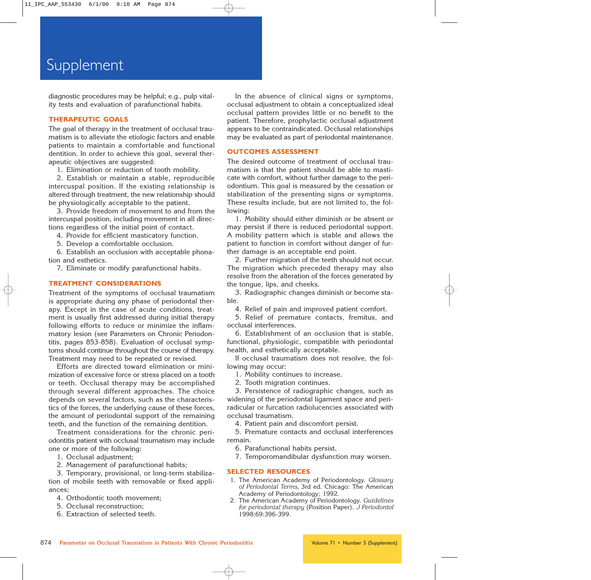diagnostic procedures may be helpful; e.g., pulp vitality tests and evaluation of parafunctional habits.

#### **THERAPEUTIC GOALS**

The goal of therapy in the treatment of occlusal traumatism is to alleviate the etiologic factors and enable patients to maintain a comfortable and functional dentition. In order to achieve this goal, several therapeutic objectives are suggested:

1. Elimination or reduction of tooth mobility.

2. Establish or maintain a stable, reproducible intercuspal position. If the existing relationship is altered through treatment, the new relationship should be physiologically acceptable to the patient.

3. Provide freedom of movement to and from the intercuspal position, including movement in all directions regardless of the initial point of contact.

4. Provide for efficient masticatory function.

5. Develop a comfortable occlusion.

6. Establish an occlusion with acceptable phonation and esthetics.

7. Eliminate or modify parafunctional habits.

#### **TREATMENT CONSIDERATIONS**

Treatment of the symptoms of occlusal traumatism is appropriate during any phase of periodontal therapy. Except in the case of acute conditions, treatment is usually first addressed during initial therapy following efforts to reduce or minimize the inflammatory lesion (see Parameters on Chronic Periodontitis, pages 853-858). Evaluation of occlusal symptoms should continue throughout the course of therapy. Treatment may need to be repeated or revised.

Efforts are directed toward elimination or minimization of excessive force or stress placed on a tooth or teeth. Occlusal therapy may be accomplished through several different approaches. The choice depends on several factors, such as the characteristics of the forces, the underlying cause of these forces, the amount of periodontal support of the remaining teeth, and the function of the remaining dentition.

Treatment considerations for the chronic periodontitis patient with occlusal traumatism may include one or more of the following:

- 1. Occlusal adjustment;
- 2. Management of parafunctional habits;

3. Temporary, provisional, or long-term stabilization of mobile teeth with removable or fixed appliances;

4. Orthodontic tooth movement;

- 5. Occlusal reconstruction;
- 6. Extraction of selected teeth.

In the absence of clinical signs or symptoms, occlusal adjustment to obtain a conceptualized ideal occlusal pattern provides little or no benefit to the patient. Therefore, prophylactic occlusal adjustment appears to be contraindicated. Occlusal relationships may be evaluated as part of periodontal maintenance.

#### **OUTCOMES ASSESSMENT**

The desired outcome of treatment of occlusal traumatism is that the patient should be able to masticate with comfort, without further damage to the periodontium. This goal is measured by the cessation or stabilization of the presenting signs or symptoms. These results include, but are not limited to, the following:

1. Mobility should either diminish or be absent or may persist if there is reduced periodontal support. A mobility pattern which is stable and allows the patient to function in comfort without danger of further damage is an acceptable end point.

2. Further migration of the teeth should not occur. The migration which preceded therapy may also resolve from the alteration of the forces generated by the tongue, lips, and cheeks.

3. Radiographic changes diminish or become stable.

4. Relief of pain and improved patient comfort.

5. Relief of premature contacts, fremitus, and occlusal interferences.

6. Establishment of an occlusion that is stable, functional, physiologic, compatible with periodontal health, and esthetically acceptable.

If occlusal traumatism does not resolve, the following may occur:

- 1. Mobility continues to increase.
- 2. Tooth migration continues.

3. Persistence of radiographic changes, such as widening of the periodontal ligament space and periradicular or furcation radiolucencies associated with occlusal traumatism.

4. Patient pain and discomfort persist.

5. Premature contacts and occlusal interferences remain.

- 6. Parafunctional habits persist.
- 7. Temporomandibular dysfunction may worsen.

- 1. The American Academy of Periodontology. *Glossary of Periodontal Terms,* 3rd ed. Chicago: The American Academy of Periodontology; 1992.
- 2. The American Academy of Periodontology. *Guidelines for periodontal therapy* (Position Paper). *J Periodontol* 1998;69:396-399.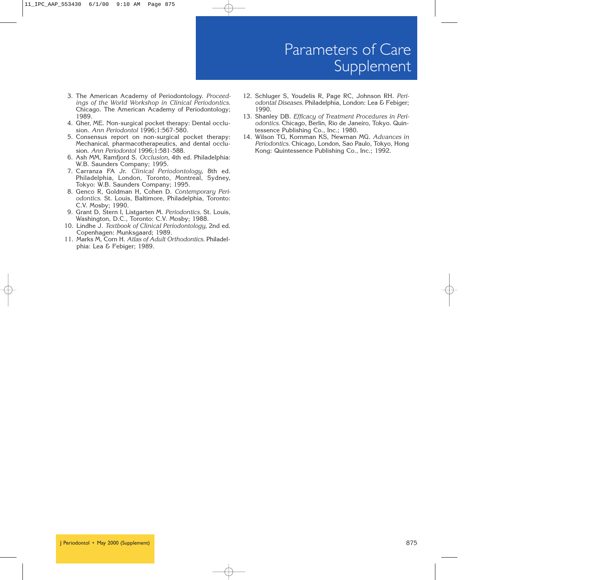- 3. The American Academy of Periodontology. *Proceedings of the World Workshop in Clinical Periodontics.* Chicago. The American Academy of Periodontology; 1989.
- 4. Gher, ME. Non-surgical pocket therapy: Dental occlusion. *Ann Periodontol* 1996;1:567-580.
- 5. Consensus report on non-surgical pocket therapy: Mechanical, pharmacotherapeutics, and dental occlusion. *Ann Periodontol* 1996;1:581-588.
- 6. Ash MM, Ramfjord S. *Occlusion,* 4th ed. Philadelphia: W.B. Saunders Company; 1995.
- 7. Carranza FA Jr. *Clinical Periodontology,* 8th ed. Philadelphia, London, Toronto, Montreal, Sydney, Tokyo: W.B. Saunders Company; 1995.
- 8. Genco R, Goldman H, Cohen D. *Contemporary Periodontics.* St. Louis, Baltimore, Philadelphia, Toronto: C.V. Mosby; 1990.
- 9. Grant D, Stern I, Listgarten M. *Periodontics.* St. Louis, Washington, D.C., Toronto: C.V. Mosby; 1988.
- 10. Lindhe J. *Textbook of Clinical Periodontology,* 2nd ed. Copenhagen: Munksgaard; 1989.
- 11. Marks M, Corn H. *Atlas of Adult Orthodontics.* Philadelphia: Lea & Febiger; 1989.
- 12. Schluger S, Youdelis R, Page RC, Johnson RH. *Periodontal Diseases.* Philadelphia, London: Lea & Febiger; 1990.
- 13. Shanley DB. *Efficacy of Treatment Procedures in Periodontics.* Chicago, Berlin, Rio de Janeiro, Tokyo. Quintessence Publishing Co., Inc.; 1980.
- 14. Wilson TG, Kornman KS, Newman MG. *Advances in Periodontics.* Chicago, London, Sao Paulo, Tokyo, Hong Kong: Quintessence Publishing Co., Inc.; 1992.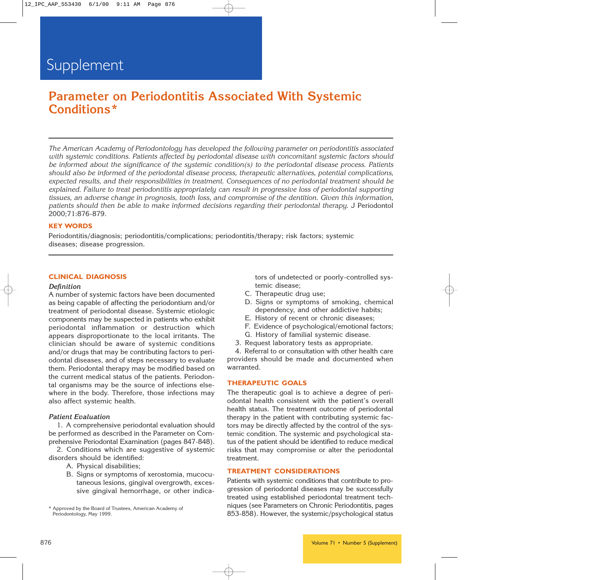## <span id="page-32-0"></span>**Parameter on Periodontitis Associated With Systemic Conditions\***

*The American Academy of Periodontology has developed the following parameter on periodontitis associated with systemic conditions. Patients affected by periodontal disease with concomitant systemic factors should be informed about the significance of the systemic condition(s) to the periodontal disease process. Patients should also be informed of the periodontal disease process, therapeutic alternatives, potential complications, expected results, and their responsibilities in treatment. Consequences of no periodontal treatment should be explained. Failure to treat periodontitis appropriately can result in progressive loss of periodontal supporting tissues, an adverse change in prognosis, tooth loss, and compromise of the dentition. Given this information, patients should then be able to make informed decisions regarding their periodontal therapy.* J Periodontol 2000;71:876-879.

#### **KEY WORDS**

Periodontitis/diagnosis; periodontitis/complications; periodontitis/therapy; risk factors; systemic diseases; disease progression.

#### **CLINICAL DIAGNOSIS**

#### *Definition*

A number of systemic factors have been documented as being capable of affecting the periodontium and/or treatment of periodontal disease. Systemic etiologic components may be suspected in patients who exhibit periodontal inflammation or destruction which appears disproportionate to the local irritants. The clinician should be aware of systemic conditions and/or drugs that may be contributing factors to periodontal diseases, and of steps necessary to evaluate them. Periodontal therapy may be modified based on the current medical status of the patients. Periodontal organisms may be the source of infections elsewhere in the body. Therefore, those infections may also affect systemic health.

#### *Patient Evaluation*

1. A comprehensive periodontal evaluation should be performed as described in the Parameter on Comprehensive Periodontal Examination (pages 847-848).

2. Conditions which are suggestive of systemic disorders should be identified:

- A. Physical disabilities;
- B. Signs or symptoms of xerostomia, mucocutaneous lesions, gingival overgrowth, excessive gingival hemorrhage, or other indica-

tors of undetected or poorly-controlled systemic disease;

- C. Therapeutic drug use;
- D. Signs or symptoms of smoking, chemical dependency, and other addictive habits;
- E. History of recent or chronic diseases;
- F. Evidence of psychological/emotional factors;
- G. History of familial systemic disease.
- 3. Request laboratory tests as appropriate.

4. Referral to or consultation with other health care providers should be made and documented when warranted.

#### **THERAPEUTIC GOALS**

The therapeutic goal is to achieve a degree of periodontal health consistent with the patient's overall health status. The treatment outcome of periodontal therapy in the patient with contributing systemic factors may be directly affected by the control of the systemic condition. The systemic and psychological status of the patient should be identified to reduce medical risks that may compromise or alter the periodontal treatment.

#### **TREATMENT CONSIDERATIONS**

Patients with systemic conditions that contribute to progression of periodontal diseases may be successfully treated using established periodontal treatment techniques (see Parameters on Chronic Periodontitis, pages 853-858). However, the systemic/psychological status

<sup>\*</sup> Approved by the Board of Trustees, American Academy of Periodontology, May 1999.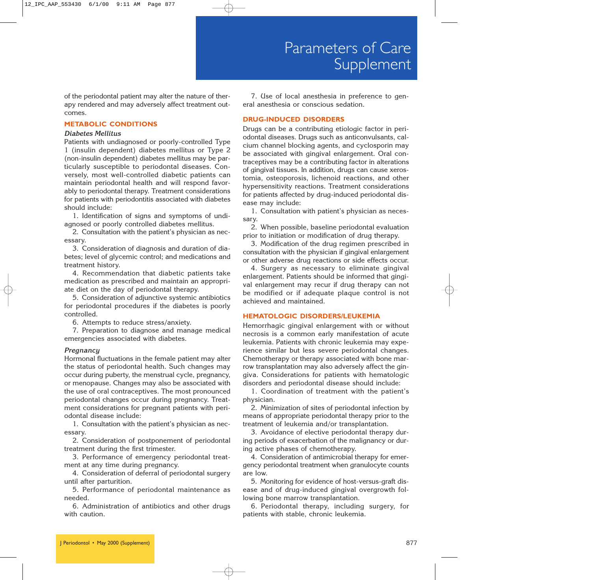of the periodontal patient may alter the nature of therapy rendered and may adversely affect treatment outcomes.

### **METABOLIC CONDITIONS**

### *Diabetes Mellitus*

Patients with undiagnosed or poorly-controlled Type 1 (insulin dependent) diabetes mellitus or Type 2 (non-insulin dependent) diabetes mellitus may be particularly susceptible to periodontal diseases. Conversely, most well-controlled diabetic patients can maintain periodontal health and will respond favorably to periodontal therapy. Treatment considerations for patients with periodontitis associated with diabetes should include:

1. Identification of signs and symptoms of undiagnosed or poorly controlled diabetes mellitus.

2. Consultation with the patient's physician as necessary.

3. Consideration of diagnosis and duration of diabetes; level of glycemic control; and medications and treatment history.

4. Recommendation that diabetic patients take medication as prescribed and maintain an appropriate diet on the day of periodontal therapy.

5. Consideration of adjunctive systemic antibiotics for periodontal procedures if the diabetes is poorly controlled.

6. Attempts to reduce stress/anxiety.

7. Preparation to diagnose and manage medical emergencies associated with diabetes.

### *Pregnancy*

Hormonal fluctuations in the female patient may alter the status of periodontal health. Such changes may occur during puberty, the menstrual cycle, pregnancy, or menopause. Changes may also be associated with the use of oral contraceptives. The most pronounced periodontal changes occur during pregnancy. Treatment considerations for pregnant patients with periodontal disease include:

1. Consultation with the patient's physician as necessary.

2. Consideration of postponement of periodontal treatment during the first trimester.

3. Performance of emergency periodontal treatment at any time during pregnancy.

4. Consideration of deferral of periodontal surgery until after parturition.

5. Performance of periodontal maintenance as needed.

6. Administration of antibiotics and other drugs with caution.

7. Use of local anesthesia in preference to general anesthesia or conscious sedation.

### **DRUG-INDUCED DISORDERS**

Drugs can be a contributing etiologic factor in periodontal diseases. Drugs such as anticonvulsants, calcium channel blocking agents, and cyclosporin may be associated with gingival enlargement. Oral contraceptives may be a contributing factor in alterations of gingival tissues. In addition, drugs can cause xerostomia, osteoporosis, lichenoid reactions, and other hypersensitivity reactions. Treatment considerations for patients affected by drug-induced periodontal disease may include:

1. Consultation with patient's physician as necessary.

2. When possible, baseline periodontal evaluation prior to initiation or modification of drug therapy.

3. Modification of the drug regimen prescribed in consultation with the physician if gingival enlargement or other adverse drug reactions or side effects occur.

4. Surgery as necessary to eliminate gingival enlargement. Patients should be informed that gingival enlargement may recur if drug therapy can not be modified or if adequate plaque control is not achieved and maintained.

### **HEMATOLOGIC DISORDERS/LEUKEMIA**

Hemorrhagic gingival enlargement with or without necrosis is a common early manifestation of acute leukemia. Patients with chronic leukemia may experience similar but less severe periodontal changes. Chemotherapy or therapy associated with bone marrow transplantation may also adversely affect the gingiva. Considerations for patients with hematologic disorders and periodontal disease should include:

1. Coordination of treatment with the patient's physician.

2. Minimization of sites of periodontal infection by means of appropriate periodontal therapy prior to the treatment of leukemia and/or transplantation.

3. Avoidance of elective periodontal therapy during periods of exacerbation of the malignancy or during active phases of chemotherapy.

4. Consideration of antimicrobial therapy for emergency periodontal treatment when granulocyte counts are low.

5. Monitoring for evidence of host-versus-graft disease and of drug-induced gingival overgrowth following bone marrow transplantation.

6. Periodontal therapy, including surgery, for patients with stable, chronic leukemia.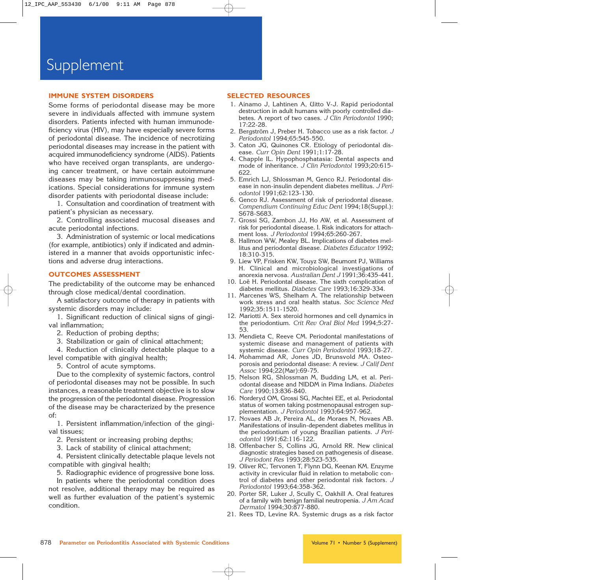#### **IMMUNE SYSTEM DISORDERS**

Some forms of periodontal disease may be more severe in individuals affected with immune system disorders. Patients infected with human immunodeficiency virus (HIV), may have especially severe forms of periodontal disease. The incidence of necrotizing periodontal diseases may increase in the patient with acquired immunodeficiency syndrome (AIDS). Patients who have received organ transplants, are undergoing cancer treatment, or have certain autoimmune diseases may be taking immunosuppressing medications. Special considerations for immune system disorder patients with periodontal disease include:

1. Consultation and coordination of treatment with patient's physician as necessary.

2. Controlling associated mucosal diseases and acute periodontal infections.

3. Administration of systemic or local medications (for example, antibiotics) only if indicated and administered in a manner that avoids opportunistic infections and adverse drug interactions.

#### **OUTCOMES ASSESSMENT**

The predictability of the outcome may be enhanced through close medical/dental coordination.

A satisfactory outcome of therapy in patients with systemic disorders may include:

1. Significant reduction of clinical signs of gingival inflammation;

- 2. Reduction of probing depths;
- 3. Stabilization or gain of clinical attachment;

4. Reduction of clinically detectable plaque to a level compatible with gingival health;

5. Control of acute symptoms.

Due to the complexity of systemic factors, control of periodontal diseases may not be possible. In such instances, a reasonable treatment objective is to slow the progression of the periodontal disease. Progression of the disease may be characterized by the presence of:

1. Persistent inflammation/infection of the gingival tissues;

2. Persistent or increasing probing depths;

3. Lack of stability of clinical attachment;

4. Persistent clinically detectable plaque levels not compatible with gingival health;

5. Radiographic evidence of progressive bone loss.

In patients where the periodontal condition does not resolve, additional therapy may be required as well as further evaluation of the patient's systemic condition.

- 1. Ainamo J, Lahtinen A, Uitto V-J. Rapid periodontal destruction in adult humans with poorly controlled diabetes. A report of two cases. *J Clin Periodontol* 1990; 17:22-28.
- 2. Bergström J, Preber H. Tobacco use as a risk factor. *J Periodontol* 1994;65:545-550.
- 3. Caton JG, Quinones CR. Etiology of periodontal disease. *Curr Opin Dent* 1991;1:17-28.
- 4. Chapple IL. Hypophosphatasia: Dental aspects and mode of inheritance. *J Clin Periodontol* 1993;20:615- 622.
- 5. Emrich LJ, Shlossman M, Genco RJ. Periodontal disease in non-insulin dependent diabetes mellitus. *J Periodontol* 1991;62:123-130.
- 6. Genco RJ. Assessment of risk of periodontal disease. *Compendium Continuing Educ Dent* 1994;18(Suppl.): S678-S683.
- 7. Grossi SG, Zambon JJ, Ho AW, et al. Assessment of risk for periodontal disease. I. Risk indicators for attachment loss. *J Periodontol* 1994;65:260-267.
- 8. Hallmon WW, Mealey BL. Implications of diabetes mellitus and periodontal disease. *Diabetes Educator* 1992; 18:310-315.
- 9. Liew VP, Frisken KW, Touyz SW, Beumont PJ, Williams H. Clinical and microbiological investigations of anorexia nervosa. *Australian Dent J* 1991;36:435-441.
- 10. Loë H. Periodontal disease. The sixth complication of diabetes mellitus. *Diabetes Care* 1993;16:329-334.
- 11. Marcenes WS, Shelham A. The relationship between work stress and oral health status. *Soc Science Med* 1992;35:1511-1520.
- 12. Mariotti A. Sex steroid hormones and cell dynamics in the periodontium. *Crit Rev Oral Biol Med* 1994;5:27- 53.
- 13. Mendieta C, Reeve CM. Periodontal manifestations of systemic disease and management of patients with systemic disease. *Curr Opin Periodontol* 1993;18-27.
- 14. Mohammad AR, Jones JD, Brunsvold MA. Osteoporosis and periodontal disease: A review. *J Calif Dent Assoc* 1994;22(Mar):69-75.
- 15. Nelson RG, Shlossman M, Budding LM, et al. Periodontal disease and NIDDM in Pima Indians. *Diabetes Care* 1990;13:836-840.
- 16. Norderyd OM, Grossi SG, Machtei EE, et al. Periodontal status of women taking postmenopausal estrogen supplementation. *J Periodontol* 1993;64:957-962.
- 17. Novaes AB Jr, Pereira AL, de Moraes N, Novaes AB. Manifestations of insulin-dependent diabetes mellitus in the periodontium of young Brazilian patients. *J Periodontol* 1991;62:116-122.
- 18. Offenbacher S, Collins JG, Arnold RR. New clinical diagnostic strategies based on pathogenesis of disease. *J Periodont Res* 1993;28:523-535.
- 19. Oliver RC, Tervonen T, Flynn DG, Keenan KM. Enzyme activity in crevicular fluid in relation to metabolic control of diabetes and other periodontal risk factors. *J Periodontol* 1993;64:358-362.
- 20. Porter SR, Luker J, Scully C, Oakhill A. Oral features of a family with benign familial neutropenia. *J Am Acad Dermatol* 1994;30:877-880.
- 21. Rees TD, Levine RA. Systemic drugs as a risk factor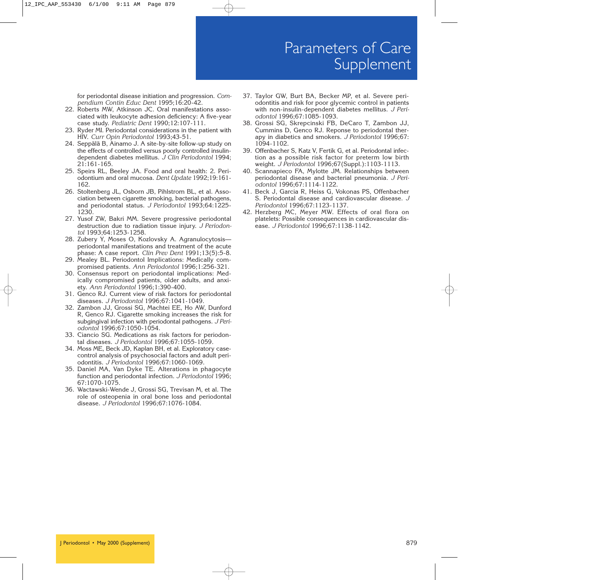for periodontal disease initiation and progression. *Compendium Contin Educ Dent* 1995;16:20-42.

- 22. Roberts MW, Atkinson JC. Oral manifestations associated with leukocyte adhesion deficiency: A five-year case study. *Pediatric Dent* 1990;12:107-111.
- 23. Ryder MI. Periodontal considerations in the patient with HIV. *Curr Opin Periodontol* 1993;43-51.
- 24. Seppälä B, Ainamo J. A site-by-site follow-up study on the effects of controlled versus poorly controlled insulindependent diabetes mellitus. *J Clin Periodontol* 1994; 21:161-165.
- 25. Speirs RL, Beeley JA. Food and oral health: 2. Periodontium and oral mucosa. *Dent Update* 1992;19:161- 162.
- 26. Stoltenberg JL, Osborn JB, Pihlstrom BL, et al. Association between cigarette smoking, bacterial pathogens, and periodontal status. *J Periodontol* 1993;64:1225- 1230.
- 27. Yusof ZW, Bakri MM. Severe progressive periodontal destruction due to radiation tissue injury. *J Periodontol* 1993;64:1253-1258.
- 28. Zubery Y, Moses O, Kozlovsky A. Agranulocytosis periodontal manifestations and treatment of the acute phase: A case report. *Clin Prev Dent* 1991;13(5):5-8.
- 29. Mealey BL. Periodontol Implications: Medically compromised patients. *Ann Periodontol* 1996;1:256-321.
- 30. Consensus report on periodontal implications: Medically compromised patients, older adults, and anxiety. *Ann Periodontol* 1996;1:390-400.
- 31. Genco RJ. Current view of risk factors for periodontal diseases. *J Periodontol* 1996;67:1041-1049.
- 32. Zambon JJ, Grossi SG, Machtei EE, Ho AW, Dunford R, Genco RJ. Cigarette smoking increases the risk for subgingival infection with periodontal pathogens. *J Periodontol* 1996;67:1050-1054.
- 33. Ciancio SG. Medications as risk factors for periodontal diseases. *J Periodontol* 1996;67:1055-1059.
- 34. Moss ME, Beck JD, Kaplan BH, et al. Exploratory casecontrol analysis of psychosocial factors and adult periodontitis. *J Periodontol* 1996;67:1060-1069.
- 35. Daniel MA, Van Dyke TE. Alterations in phagocyte function and periodontal infection. *J Periodontol* 1996; 67:1070-1075.
- 36. Wactawski-Wende J, Grossi SG, Trevisan M, et al. The role of osteopenia in oral bone loss and periodontal disease. *J Periodontol* 1996;67:1076-1084.
- 37. Taylor GW, Burt BA, Becker MP, et al. Severe periodontitis and risk for poor glycemic control in patients with non-insulin-dependent diabetes mellitus. *J Periodontol* 1996;67:1085-1093.
- 38. Grossi SG, Skrepcinski FB, DeCaro T, Zambon JJ, Cummins D, Genco RJ. Reponse to periodontal therapy in diabetics and smokers. *J Periodontol* 1996;67: 1094-1102.
- 39. Offenbacher S, Katz V, Fertik G, et al. Periodontal infection as a possible risk factor for preterm low birth weight. *J Periodontol* 1996;67(Suppl.):1103-1113.
- 40. Scannapieco FA, Mylotte JM. Relationships between periodontal disease and bacterial pneumonia. *J Periodontol* 1996;67:1114-1122.
- 41. Beck J, Garcia R, Heiss G, Vokonas PS, Offenbacher S. Periodontal disease and cardiovascular disease. *J Periodontol* 1996;67:1123-1137.
- 42. Herzberg MC, Meyer MW. Effects of oral flora on platelets: Possible consequences in cardiovascular disease. *J Periodontol* 1996;67:1138-1142.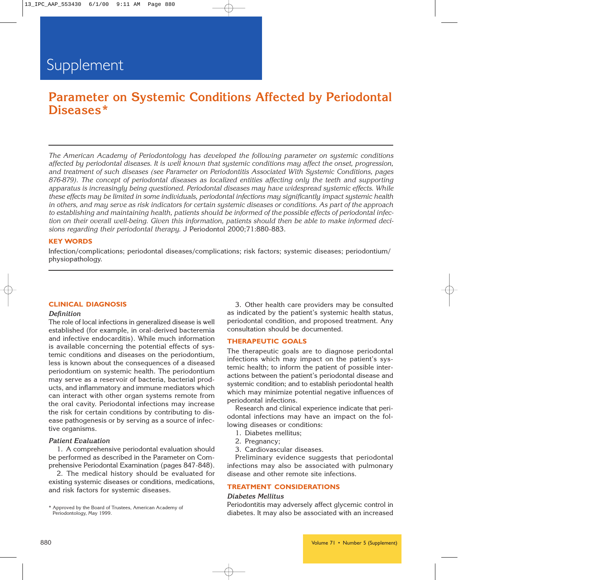## <span id="page-36-0"></span>**Parameter on Systemic Conditions Affected by Periodontal Diseases\***

*The American Academy of Periodontology has developed the following parameter on systemic conditions affected by periodontal diseases. It is well known that systemic conditions may affect the onset, progression, and treatment of such diseases (see Parameter on Periodontitis Associated With Systemic Conditions, pages 876-879). The concept of periodontal diseases as localized entities affecting only the teeth and supporting apparatus is increasingly being questioned. Periodontal diseases may have widespread systemic effects. While these effects may be limited in some individuals, periodontal infections may significantly impact systemic health in others, and may serve as risk indicators for certain systemic diseases or conditions. As part of the approach to establishing and maintaining health, patients should be informed of the possible effects of periodontal infection on their overall well-being. Given this information, patients should then be able to make informed decisions regarding their periodontal therapy.* J Periodontol 2000;71:880-883.

#### **KEY WORDS**

Infection/complications; periodontal diseases/complications; risk factors; systemic diseases; periodontium/ physiopathology.

#### **CLINICAL DIAGNOSIS**

#### *Definition*

The role of local infections in generalized disease is well established (for example, in oral-derived bacteremia and infective endocarditis). While much information is available concerning the potential effects of systemic conditions and diseases on the periodontium, less is known about the consequences of a diseased periodontium on systemic health. The periodontium may serve as a reservoir of bacteria, bacterial products, and inflammatory and immune mediators which can interact with other organ systems remote from the oral cavity. Periodontal infections may increase the risk for certain conditions by contributing to disease pathogenesis or by serving as a source of infective organisms.

#### *Patient Evaluation*

1. A comprehensive periodontal evaluation should be performed as described in the Parameter on Comprehensive Periodontal Examination (pages 847-848).

2. The medical history should be evaluated for existing systemic diseases or conditions, medications, and risk factors for systemic diseases.

\* Approved by the Board of Trustees, American Academy of Periodontology, May 1999.

3. Other health care providers may be consulted as indicated by the patient's systemic health status, periodontal condition, and proposed treatment. Any consultation should be documented.

#### **THERAPEUTIC GOALS**

The therapeutic goals are to diagnose periodontal infections which may impact on the patient's systemic health; to inform the patient of possible interactions between the patient's periodontal disease and systemic condition; and to establish periodontal health which may minimize potential negative influences of periodontal infections.

Research and clinical experience indicate that periodontal infections may have an impact on the following diseases or conditions:

- 1. Diabetes mellitus;
- 2. Pregnancy;
- 3. Cardiovascular diseases.

Preliminary evidence suggests that periodontal infections may also be associated with pulmonary disease and other remote site infections.

#### **TREATMENT CONSIDERATIONS**

#### *Diabetes Mellitus*

Periodontitis may adversely affect glycemic control in diabetes. It may also be associated with an increased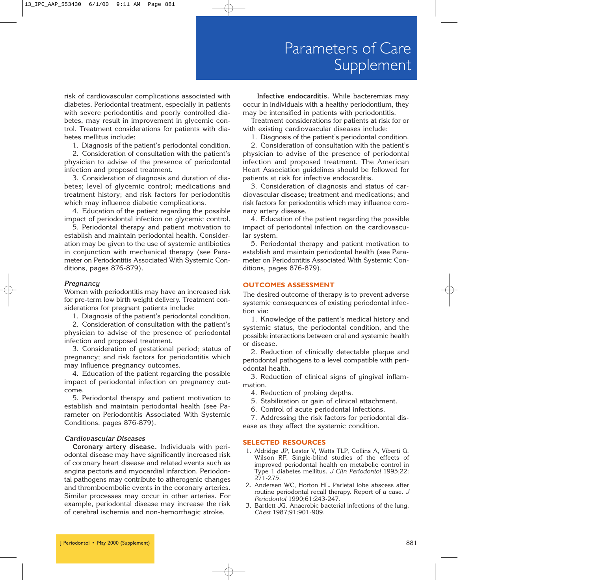risk of cardiovascular complications associated with diabetes. Periodontal treatment, especially in patients with severe periodontitis and poorly controlled diabetes, may result in improvement in glycemic control. Treatment considerations for patients with diabetes mellitus include:

1. Diagnosis of the patient's periodontal condition.

2. Consideration of consultation with the patient's physician to advise of the presence of periodontal infection and proposed treatment.

3. Consideration of diagnosis and duration of diabetes; level of glycemic control; medications and treatment history; and risk factors for periodontitis which may influence diabetic complications.

4. Education of the patient regarding the possible impact of periodontal infection on glycemic control.

5. Periodontal therapy and patient motivation to establish and maintain periodontal health. Consideration may be given to the use of systemic antibiotics in conjunction with mechanical therapy (see Parameter on Periodontitis Associated With Systemic Conditions, pages 876-879).

### *Pregnancy*

Women with periodontitis may have an increased risk for pre-term low birth weight delivery. Treatment considerations for pregnant patients include:

1. Diagnosis of the patient's periodontal condition.

2. Consideration of consultation with the patient's physician to advise of the presence of periodontal infection and proposed treatment.

3. Consideration of gestational period; status of pregnancy; and risk factors for periodontitis which may influence pregnancy outcomes.

4. Education of the patient regarding the possible impact of periodontal infection on pregnancy outcome.

5. Periodontal therapy and patient motivation to establish and maintain periodontal health (see Parameter on Periodontitis Associated With Systemic Conditions, pages 876-879).

#### *Cardiovascular Diseases*

**Coronary artery disease.** Individuals with periodontal disease may have significantly increased risk of coronary heart disease and related events such as angina pectoris and myocardial infarction. Periodontal pathogens may contribute to atherogenic changes and thromboembolic events in the coronary arteries. Similar processes may occur in other arteries. For example, periodontal disease may increase the risk of cerebral ischemia and non-hemorrhagic stroke.

**Infective endocarditis.** While bacteremias may occur in individuals with a healthy periodontium, they may be intensified in patients with periodontitis.

Treatment considerations for patients at risk for or with existing cardiovascular diseases include:

1. Diagnosis of the patient's periodontal condition.

2. Consideration of consultation with the patient's physician to advise of the presence of periodontal infection and proposed treatment. The American Heart Association guidelines should be followed for patients at risk for infective endocarditis.

3. Consideration of diagnosis and status of cardiovascular disease; treatment and medications; and risk factors for periodontitis which may influence coronary artery disease.

4. Education of the patient regarding the possible impact of periodontal infection on the cardiovascular system.

5. Periodontal therapy and patient motivation to establish and maintain periodontal health (see Parameter on Periodontitis Associated With Systemic Conditions, pages 876-879).

### **OUTCOMES ASSESSMENT**

The desired outcome of therapy is to prevent adverse systemic consequences of existing periodontal infection via:

1. Knowledge of the patient's medical history and systemic status, the periodontal condition, and the possible interactions between oral and systemic health or disease.

2. Reduction of clinically detectable plaque and periodontal pathogens to a level compatible with periodontal health.

3. Reduction of clinical signs of gingival inflammation.

- 4. Reduction of probing depths.
- 5. Stabilization or gain of clinical attachment.
- 6. Control of acute periodontal infections.

7. Addressing the risk factors for periodontal disease as they affect the systemic condition.

- 1. Aldridge JP, Lester V, Watts TLP, Collins A, Viberti G, Wilson RF. Single-blind studies of the effects of improved periodontal health on metabolic control in Type 1 diabetes mellitus. *J Clin Periodontol* 1995;22: 271-275.
- 2. Andersen WC, Horton HL. Parietal lobe abscess after routine periodontal recall therapy. Report of a case. *J Periodontol* 1990;61:243-247.
- 3. Bartlett JG. Anaerobic bacterial infections of the lung. *Chest* 1987;91:901-909.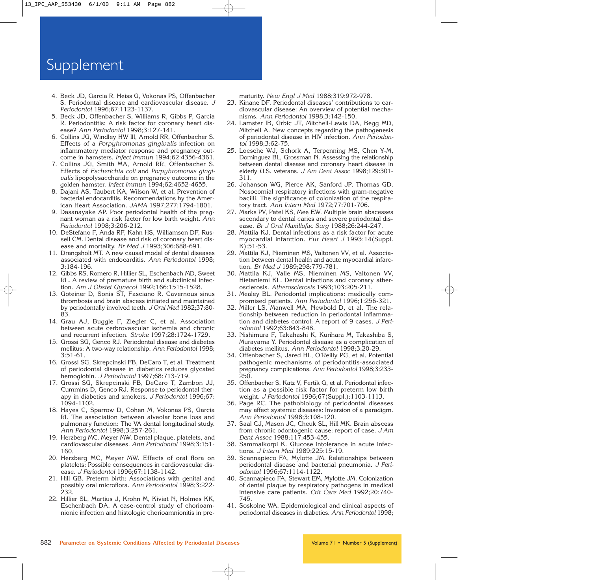- 4. Beck JD, Garcia R, Heiss G, Vokonas PS, Offenbacher S. Periodontal disease and cardiovascular disease. *J Periodontol* 1996;67:1123-1137.
- 5. Beck JD, Offenbacher S, Williams R, Gibbs P, Garcia R. Periodontitis: A risk factor for coronary heart disease? *Ann Periodontol* 1998;3:127-141.
- 6. Collins JG, Windley HW III, Arnold RR, Offenbacher S. Effects of a *Porpyhromonas gingivalis* infection on inflammatory mediator response and pregnancy outcome in hamsters. *Infect Immun* 1994;62:4356-4361.
- 7. Collins JG, Smith MA, Arnold RR, Offenbacher S. Effects of *Escherichia coli* and *Porpyhromonas gingivalis* lipopolysaccharide on pregnancy outcome in the golden hamster. *Infect Immun* 1994;62:4652-4655.
- 8. Dajani AS, Taubert KA, Wilson W, et al. Prevention of bacterial endocarditis. Recommendations by the American Heart Association. *JAMA* 1997;277:1794-1801.
- 9. Dasanayake AP. Poor periodontal health of the pregnant woman as a risk factor for low birth weight. *Ann Periodontol* 1998;3:206-212.
- 10. DeStefano F, Anda RF, Kahn HS, Williamson DF, Russell CM. Dental disease and risk of coronary heart disease and mortality. *Br Med J* 1993;306:688-691.
- 11. Drangsholt MT. A new causal model of dental diseases associated with endocarditis. *Ann Periodontol* 1998; 3:184-196.
- 12. Gibbs RS, Romero R, Hillier SL, Eschenbach MD, Sweet RL. A review of premature birth and subclinical infection. *Am J Obstet Gynecol* 1992;166:1515-1528.
- 13. Goteiner D, Sonis ST, Fasciano R. Cavernous sinus thrombosis and brain abscess initiated and maintained by periodontally involved teeth. *J Oral Med* 1982;37:80- 83.
- 14. Grau AJ, Buggle F, Ziegler C, et al. Association between acute cerbrovascular ischemia and chronic and recurrent infection. *Stroke* 1997;28:1724-1729.
- 15. Grossi SG, Genco RJ. Periodontal disease and diabetes mellitus: A two-way relationship. *Ann Periodontol* 1998; 3:51-61.
- 16. Grossi SG, Skrepcinski FB, DeCaro T, et al. Treatment of periodontal disease in diabetics reduces glycated hemoglobin. *J Periodontol* 1997;68:713-719.
- 17. Grossi SG, Skrepcinski FB, DeCaro T, Zambon JJ, Cummins D, Genco RJ. Response to periodontal therapy in diabetics and smokers. *J Periodontol* 1996;67: 1094-1102.
- 18. Hayes C, Sparrow D, Cohen M, Vokonas PS, Garcia RI. The association between alveolar bone loss and pulmonary function: The VA dental longitudinal study. *Ann Periodontol* 1998;3:257-261.
- 19. Herzberg MC, Meyer MW. Dental plaque, platelets, and cardiovascular diseases. *Ann Periodontol* 1998;3:151- 160.
- 20. Herzberg MC, Meyer MW. Effects of oral flora on platelets: Possible consequences in cardiovascular disease. *J Periodontol* 1996;67:1138-1142.
- 21. Hill GB. Preterm birth: Associations with genital and possibly oral microflora. *Ann Periodontol* 1998;3:222- 232.
- 22. Hillier SL, Martius J, Krohn M, Kiviat N, Holmes KK, Eschenbach DA. A case-control study of chorioamnionic infection and histologic chorioamnionitis in pre-

maturity. *New Engl J Med* 1988;319:972-978.

- 23. Kinane DF. Periodontal diseases' contributions to cardiovascular disease: An overview of potential mechanisms. *Ann Periodontol* 1998;3:142-150.
- 24. Lamster IB, Grbic JT, Mitchell-Lewis DA, Begg MD, Mitchell A. New concepts regarding the pathogenesis of periodontal disease in HIV infection. *Ann Periodontol* 1998;3:62-75.
- 25. Loesche WJ, Schork A, Terpenning MS, Chen Y-M, Dominguez BL, Grossman N. Assessing the relationship between dental disease and coronary heart disease in elderly U.S. veterans. *J Am Dent Assoc* 1998;129:301- 311.
- 26. Johanson WG, Pierce AK, Sanford JP, Thomas GD. Nosocomial respiratory infections with gram-negative bacilli. The significance of colonization of the respiratory tract. *Ann Intern Med* 1972;77:701-706.
- 27. Marks PV, Patel KS, Mee EW. Multiple brain abscesses secondary to dental caries and severe periodontal disease. *Br J Oral Maxillofac Surg* 1988;26:244-247.
- 28. Mattila KJ. Dental infections as a risk factor for acute myocardial infarction. *Eur Heart J* 1993;14(Suppl. K):51-53.
- 29. Mattila KJ, Nieminen MS, Valtonen VV, et al. Association between dental health and acute myocardial infarction. *Br Med J* 1989;298:779-781.
- 30. Mattila KJ, Valle MS, Nieminen MS, Valtonen VV, Hietaniemi KL. Dental infections and coronary atherosclerosis. *Atherosclerosis* 1993;103:205-211.
- 31. Mealey BL. Periodontal implications: medically compromised patients. *Ann Periodontol* 1996;1:256-321.
- 32. Miller LS, Manwell MA, Newbold D, et al. The relationship between reduction in periodontal inflammation and diabetes control: A report of 9 cases. *J Periodontol* 1992;63:843-848.
- 33. Nishimura F, Takahashi K, Kurihara M, Takashiba S, Murayama Y. Periodontal disease as a complication of diabetes mellitus. *Ann Periodontol* 1998;3:20-29.
- 34. Offenbacher S, Jared HL, O'Reilly PG, et al. Potential pathogenic mechanisms of periodontitis-associated pregnancy complications. *Ann Periodontol* 1998;3:233- 250.
- 35. Offenbacher S, Katz V, Fertik G, et al. Periodontal infection as a possible risk factor for preterm low birth weight. *J Periodontol* 1996;67(Suppl.):1103-1113.
- 36. Page RC. The pathobiology of periodontal diseases may affect systemic diseases: Inversion of a paradigm. *Ann Periodontol* 1998;3:108-120.
- 37. Saal CJ, Mason JC, Cheuk SL, Hill MK. Brain abscess from chronic odontogenic cause: report of case. *J Am Dent Assoc* 1988;117:453-455.
- 38. Sammalkorpi K. Glucose intolerance in acute infections. *J Intern Med* 1989;225:15-19.
- 39. Scannapieco FA, Mylotte JM. Relationships between periodontal disease and bacterial pneumonia. *J Periodontol* 1996;67:1114-1122.
- 40. Scannapieco FA, Stewart EM, Mylotte JM. Colonization of dental plaque by respiratory pathogens in medical intensive care patients. *Crit Care Med* 1992;20:740- 745.
- 41. Soskolne WA. Epidemiological and clinical aspects of periodontal diseases in diabetics. *Ann Periodontol* 1998;